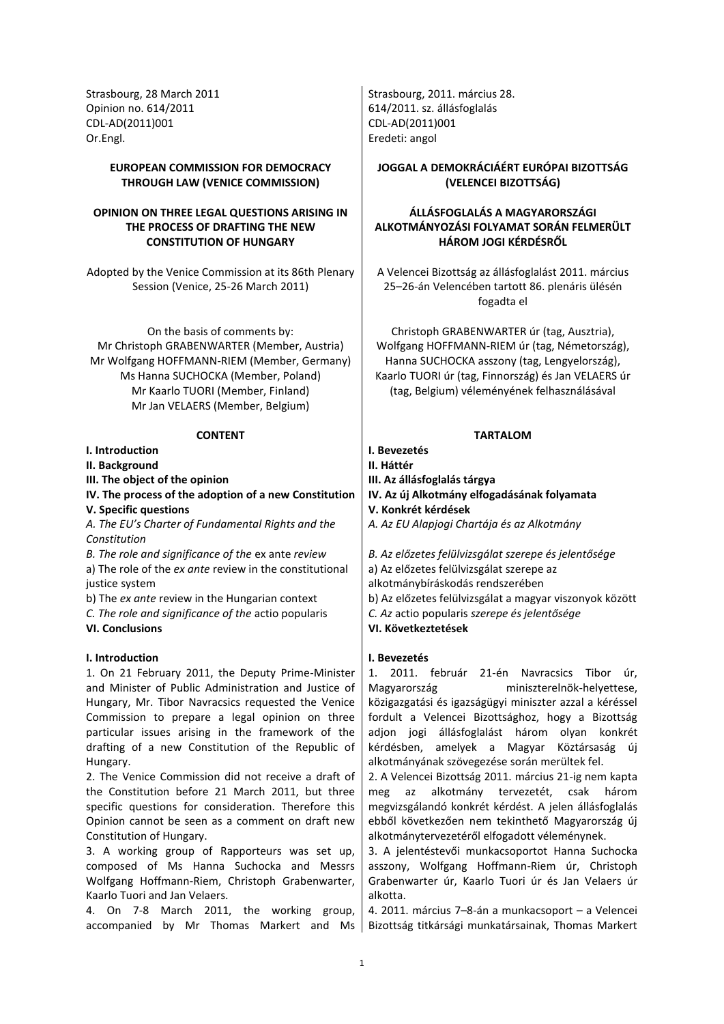Opinion no. 614/2011 **614/2011 614/2011**. sz. állásfoglalás CDL-AD(2011)001 CDL-AD(2011)001 Or.Engl. Eredeti: angol

# **EUROPEAN COMMISSION FOR DEMOCRACY THROUGH LAW (VENICE COMMISSION)**

# **OPINION ON THREE LEGAL QUESTIONS ARISING IN THE PROCESS OF DRAFTING THE NEW CONSTITUTION OF HUNGARY**

Adopted by the Venice Commission at its 86th Plenary Session (Venice, 25-26 March 2011)

On the basis of comments by: Mr Christoph GRABENWARTER (Member, Austria) Mr Wolfgang HOFFMANN-RIEM (Member, Germany) Ms Hanna SUCHOCKA (Member, Poland) Mr Kaarlo TUORI (Member, Finland) Mr Jan VELAERS (Member, Belgium)

**I. Introduction I. Bevezetés**

**II. Background II. Háttér**

**V. Specific questions V. Konkrét kérdések**

*A. The EU's Charter of Fundamental Rights and the Constitution*

*B. The role and significance of the* ex ante *review B. Az előzetes felülvizsgálat szerepe és jelentősége* a) The role of the *ex ante* review in the constitutional justice system

*C. The role and significance of the* actio popularis *C. Az* actio popularis *szerepe és jelentősége*

# **I. Introduction I. Bevezetés**

1. On 21 February 2011, the Deputy Prime-Minister and Minister of Public Administration and Justice of Hungary, Mr. Tibor Navracsics requested the Venice Commission to prepare a legal opinion on three particular issues arising in the framework of the drafting of a new Constitution of the Republic of Hungary.

2. The Venice Commission did not receive a draft of the Constitution before 21 March 2011, but three specific questions for consideration. Therefore this Opinion cannot be seen as a comment on draft new Constitution of Hungary.

3. A working group of Rapporteurs was set up, composed of Ms Hanna Suchocka and Messrs Wolfgang Hoffmann-Riem, Christoph Grabenwarter, Kaarlo Tuori and Jan Velaers.

4. On 7-8 March 2011, the working group, accompanied by Mr Thomas Markert and Ms

Strasbourg, 28 March 2011 **Strasbourg, 2011.** március 28.

# **JOGGAL A DEMOKRÁCIÁÉRT EURÓPAI BIZOTTSÁG (VELENCEI BIZOTTSÁG)**

# **ÁLLÁSFOGLALÁS A MAGYARORSZÁGI ALKOTMÁNYOZÁSI FOLYAMAT SORÁN FELMERÜLT HÁROM JOGI KÉRDÉSRŐL**

A Velencei Bizottság az állásfoglalást 2011. március 25–26-án Velencében tartott 86. plenáris ülésén fogadta el

Christoph GRABENWARTER úr (tag, Ausztria), Wolfgang HOFFMANN-RIEM úr (tag, Németország), Hanna SUCHOCKA asszony (tag, Lengyelország), Kaarlo TUORI úr (tag, Finnország) és Jan VELAERS úr (tag, Belgium) véleményének felhasználásával

# **CONTENT TARTALOM**

**III. The object of the opinion III. Az állásfoglalás tárgya IV. The process of the adoption of a new Constitution IV. Az új Alkotmány elfogadásának folyamata** *A. Az EU Alapjogi Chartája és az Alkotmány*

a) Az előzetes felülvizsgálat szerepe az alkotmánybíráskodás rendszerében b) The *ex ante* review in the Hungarian context | b) Az előzetes felülvizsgálat a magyar viszonyok között **VI. Conclusions VI. Következtetések**

1. 2011. február 21-én Navracsics Tibor úr, Magyarország miniszterelnök-helyettese, közigazgatási és igazságügyi miniszter azzal a kéréssel fordult a Velencei Bizottsághoz, hogy a Bizottság adjon jogi állásfoglalást három olyan konkrét kérdésben, amelyek a Magyar Köztársaság új alkotmányának szövegezése során merültek fel.

2. A Velencei Bizottság 2011. március 21-ig nem kapta meg az alkotmány tervezetét, csak három megvizsgálandó konkrét kérdést. A jelen állásfoglalás ebből következően nem tekinthető Magyarország új alkotmánytervezetéről elfogadott véleménynek.

3. A jelentéstevői munkacsoportot Hanna Suchocka asszony, Wolfgang Hoffmann-Riem úr, Christoph Grabenwarter úr, Kaarlo Tuori úr és Jan Velaers úr alkotta.

4. 2011. március 7–8-án a munkacsoport – a Velencei Bizottság titkársági munkatársainak, Thomas Markert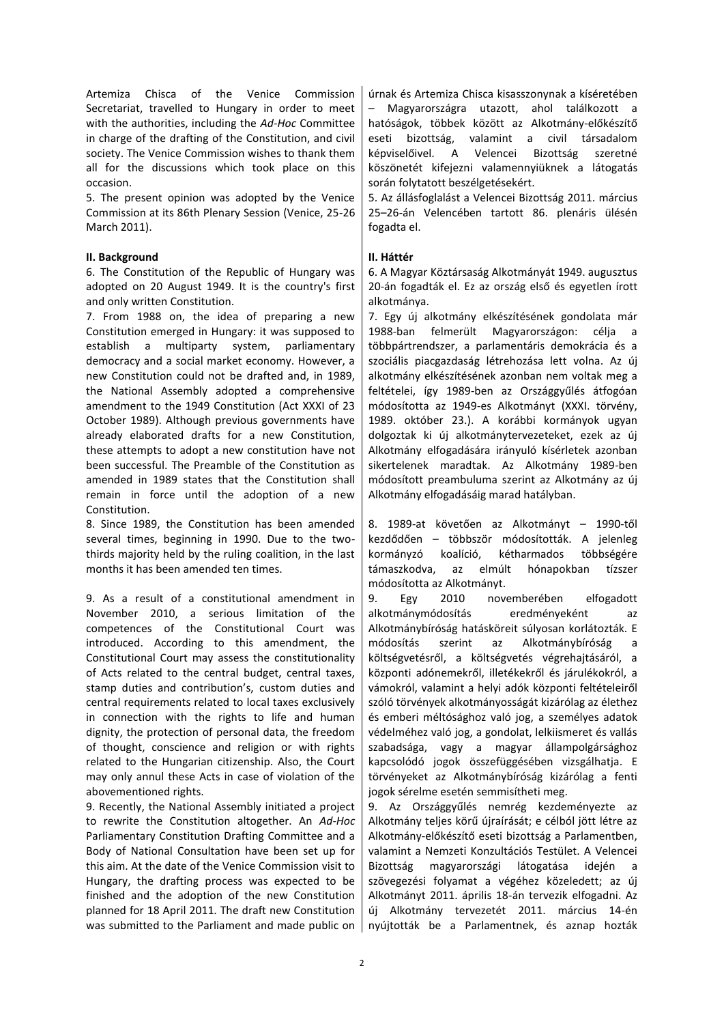Artemiza Chisca of the Venice Commission Secretariat, travelled to Hungary in order to meet with the authorities, including the *Ad-Hoc* Committee in charge of the drafting of the Constitution, and civil society. The Venice Commission wishes to thank them all for the discussions which took place on this occasion.

5. The present opinion was adopted by the Venice Commission at its 86th Plenary Session (Venice, 25-26 March 2011).

# **II. Background II. Háttér**

6. The Constitution of the Republic of Hungary was adopted on 20 August 1949. It is the country's first and only written Constitution.

7. From 1988 on, the idea of preparing a new Constitution emerged in Hungary: it was supposed to establish a multiparty system, parliamentary democracy and a social market economy. However, a new Constitution could not be drafted and, in 1989, the National Assembly adopted a comprehensive amendment to the 1949 Constitution (Act XXXI of 23 October 1989). Although previous governments have already elaborated drafts for a new Constitution, these attempts to adopt a new constitution have not been successful. The Preamble of the Constitution as amended in 1989 states that the Constitution shall remain in force until the adoption of a new Constitution.

8. Since 1989, the Constitution has been amended several times, beginning in 1990. Due to the twothirds majority held by the ruling coalition, in the last months it has been amended ten times.

9. As a result of a constitutional amendment in November 2010, a serious limitation of the competences of the Constitutional Court was introduced. According to this amendment, the Constitutional Court may assess the constitutionality of Acts related to the central budget, central taxes, stamp duties and contribution's, custom duties and central requirements related to local taxes exclusively in connection with the rights to life and human dignity, the protection of personal data, the freedom of thought, conscience and religion or with rights related to the Hungarian citizenship. Also, the Court may only annul these Acts in case of violation of the abovementioned rights.

9. Recently, the National Assembly initiated a project to rewrite the Constitution altogether. An *Ad-Hoc*  Parliamentary Constitution Drafting Committee and a Body of National Consultation have been set up for this aim. At the date of the Venice Commission visit to Hungary, the drafting process was expected to be finished and the adoption of the new Constitution planned for 18 April 2011. The draft new Constitution was submitted to the Parliament and made public on

úrnak és Artemiza Chisca kisasszonynak a kíséretében – Magyarországra utazott, ahol találkozott a hatóságok, többek között az Alkotmány-előkészítő eseti bizottság, valamint a civil társadalom képviselőivel. A Velencei Bizottság szeretné köszönetét kifejezni valamennyiüknek a látogatás során folytatott beszélgetésekért.

5. Az állásfoglalást a Velencei Bizottság 2011. március 25–26-án Velencében tartott 86. plenáris ülésén fogadta el.

6. A Magyar Köztársaság Alkotmányát 1949. augusztus 20-án fogadták el. Ez az ország első és egyetlen írott alkotmánya.

7. Egy új alkotmány elkészítésének gondolata már 1988-ban felmerült Magyarországon: célja a többpártrendszer, a parlamentáris demokrácia és a szociális piacgazdaság létrehozása lett volna. Az új alkotmány elkészítésének azonban nem voltak meg a feltételei, így 1989-ben az Országgyűlés átfogóan módosította az 1949-es Alkotmányt (XXXI. törvény, 1989. október 23.). A korábbi kormányok ugyan dolgoztak ki új alkotmánytervezeteket, ezek az új Alkotmány elfogadására irányuló kísérletek azonban sikertelenek maradtak. Az Alkotmány 1989-ben módosított preambuluma szerint az Alkotmány az új Alkotmány elfogadásáig marad hatályban.

8. 1989-at követően az Alkotmányt – 1990-től kezdődően – többször módosították. A jelenleg kormányzó koalíció, kétharmados többségére támaszkodva, az elmúlt hónapokban tízszer módosította az Alkotmányt.

9. Egy 2010 novemberében elfogadott alkotmánymódosítás eredményeként az Alkotmánybíróság hatásköreit súlyosan korlátozták. E módosítás szerint az Alkotmánybíróság a költségvetésről, a költségvetés végrehajtásáról, a központi adónemekről, illetékekről és járulékokról, a vámokról, valamint a helyi adók központi feltételeiről szóló törvények alkotmányosságát kizárólag az élethez és emberi méltósághoz való jog, a személyes adatok védelméhez való jog, a gondolat, lelkiismeret és vallás szabadsága, vagy a magyar állampolgársághoz kapcsolódó jogok összefüggésében vizsgálhatja. E törvényeket az Alkotmánybíróság kizárólag a fenti jogok sérelme esetén semmisítheti meg.

9. Az Országgyűlés nemrég kezdeményezte az Alkotmány teljes körű újraírását; e célból jött létre az Alkotmány-előkészítő eseti bizottság a Parlamentben, valamint a Nemzeti Konzultációs Testület. A Velencei Bizottság magyarországi látogatása idején a szövegezési folyamat a végéhez közeledett; az új Alkotmányt 2011. április 18-án tervezik elfogadni. Az új Alkotmány tervezetét 2011. március 14-én nyújtották be a Parlamentnek, és aznap hozták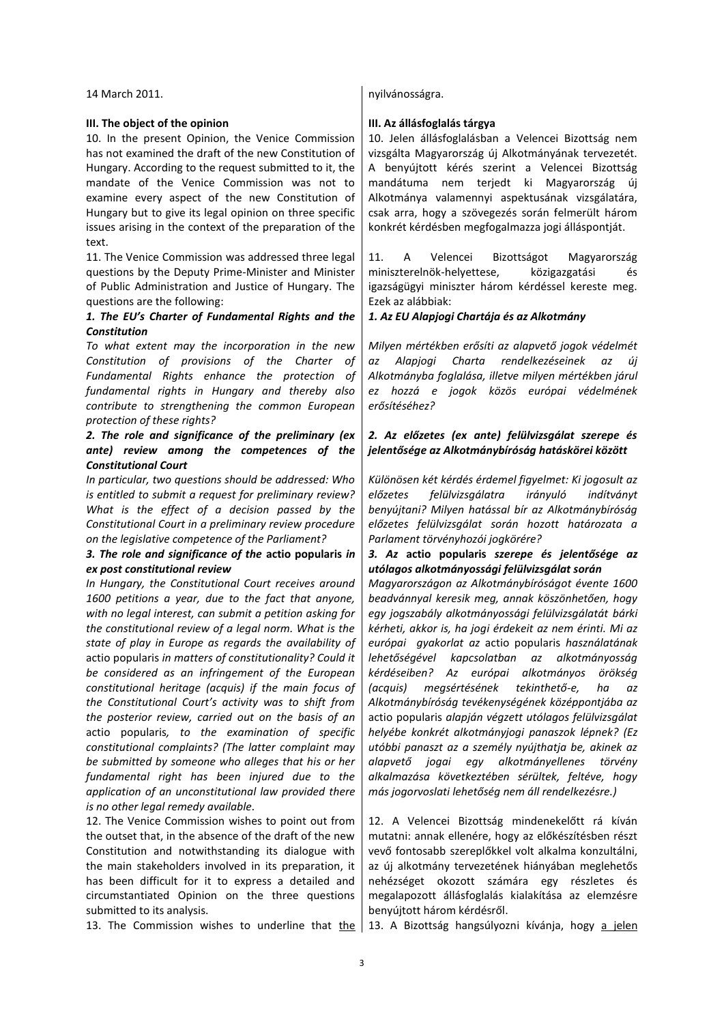### **III. The object of the opinion III. Az állásfoglalás tárgya**

10. In the present Opinion, the Venice Commission has not examined the draft of the new Constitution of Hungary. According to the request submitted to it, the mandate of the Venice Commission was not to examine every aspect of the new Constitution of Hungary but to give its legal opinion on three specific issues arising in the context of the preparation of the text.

11. The Venice Commission was addressed three legal questions by the Deputy Prime-Minister and Minister of Public Administration and Justice of Hungary. The questions are the following:

# *1. The EU's Charter of Fundamental Rights and the Constitution*

*To what extent may the incorporation in the new Constitution of provisions of the Charter of Fundamental Rights enhance the protection of fundamental rights in Hungary and thereby also contribute to strengthening the common European protection of these rights?*

# *2. The role and significance of the preliminary (ex ante) review among the competences of the Constitutional Court*

*In particular, two questions should be addressed: Who is entitled to submit a request for preliminary review? What is the effect of a decision passed by the Constitutional Court in a preliminary review procedure on the legislative competence of the Parliament?*

# *3. The role and significance of the* **actio popularis** *in ex post constitutional review*

*In Hungary, the Constitutional Court receives around 1600 petitions a year, due to the fact that anyone, with no legal interest, can submit a petition asking for the constitutional review of a legal norm. What is the state of play in Europe as regards the availability of*  actio popularis *in matters of constitutionality? Could it be considered as an infringement of the European constitutional heritage (acquis) if the main focus of the Constitutional Court's activity was to shift from the posterior review, carried out on the basis of an*  actio popularis*, to the examination of specific constitutional complaints? (The latter complaint may be submitted by someone who alleges that his or her fundamental right has been injured due to the application of an unconstitutional law provided there is no other legal remedy available.*

12. The Venice Commission wishes to point out from the outset that, in the absence of the draft of the new Constitution and notwithstanding its dialogue with the main stakeholders involved in its preparation, it has been difficult for it to express a detailed and circumstantiated Opinion on the three questions submitted to its analysis.

13. The Commission wishes to underline that the 13. A Bizottság hangsúlyozni kívánja, hogy a jelen

### 14 March 2011. **noviember 17 december 17 december 17 december 17 december 17 december 17 december 17 december 1**

10. Jelen állásfoglalásban a Velencei Bizottság nem vizsgálta Magyarország új Alkotmányának tervezetét. A benyújtott kérés szerint a Velencei Bizottság mandátuma nem terjedt ki Magyarország új Alkotmánya valamennyi aspektusának vizsgálatára, csak arra, hogy a szövegezés során felmerült három konkrét kérdésben megfogalmazza jogi álláspontját.

11. A Velencei Bizottságot Magyarország miniszterelnök-helyettese, közigazgatási és igazságügyi miniszter három kérdéssel kereste meg. Ezek az alábbiak:

# *1. Az EU Alapjogi Chartája és az Alkotmány*

*Milyen mértékben erősíti az alapvető jogok védelmét az Alapjogi Charta rendelkezéseinek az új Alkotmányba foglalása, illetve milyen mértékben járul ez hozzá e jogok közös európai védelmének erősítéséhez?*

# *2. Az előzetes (ex ante) felülvizsgálat szerepe és jelentősége az Alkotmánybíróság hatáskörei között*

*Különösen két kérdés érdemel figyelmet: Ki jogosult az előzetes felülvizsgálatra irányuló indítványt benyújtani? Milyen hatással bír az Alkotmánybíróság előzetes felülvizsgálat során hozott határozata a Parlament törvényhozói jogkörére?*

# *3. Az* **actio popularis** *szerepe és jelentősége az utólagos alkotmányossági felülvizsgálat során*

*Magyarországon az Alkotmánybíróságot évente 1600 beadvánnyal keresik meg, annak köszönhetően, hogy egy jogszabály alkotmányossági felülvizsgálatát bárki kérheti, akkor is, ha jogi érdekeit az nem érinti. Mi az európai gyakorlat az* actio popularis *használatának lehetőségével kapcsolatban az alkotmányosság kérdéseiben? Az európai alkotmányos örökség (acquis) megsértésének tekinthető-e, ha az Alkotmánybíróság tevékenységének középpontjába az*  actio popularis *alapján végzett utólagos felülvizsgálat helyébe konkrét alkotmányjogi panaszok lépnek? (Ez utóbbi panaszt az a személy nyújthatja be, akinek az alapvető jogai egy alkotmányellenes törvény alkalmazása következtében sérültek, feltéve, hogy más jogorvoslati lehetőség nem áll rendelkezésre.)*

12. A Velencei Bizottság mindenekelőtt rá kíván mutatni: annak ellenére, hogy az előkészítésben részt vevő fontosabb szereplőkkel volt alkalma konzultálni, az új alkotmány tervezetének hiányában meglehetős nehézséget okozott számára egy részletes és megalapozott állásfoglalás kialakítása az elemzésre benyújtott három kérdésről.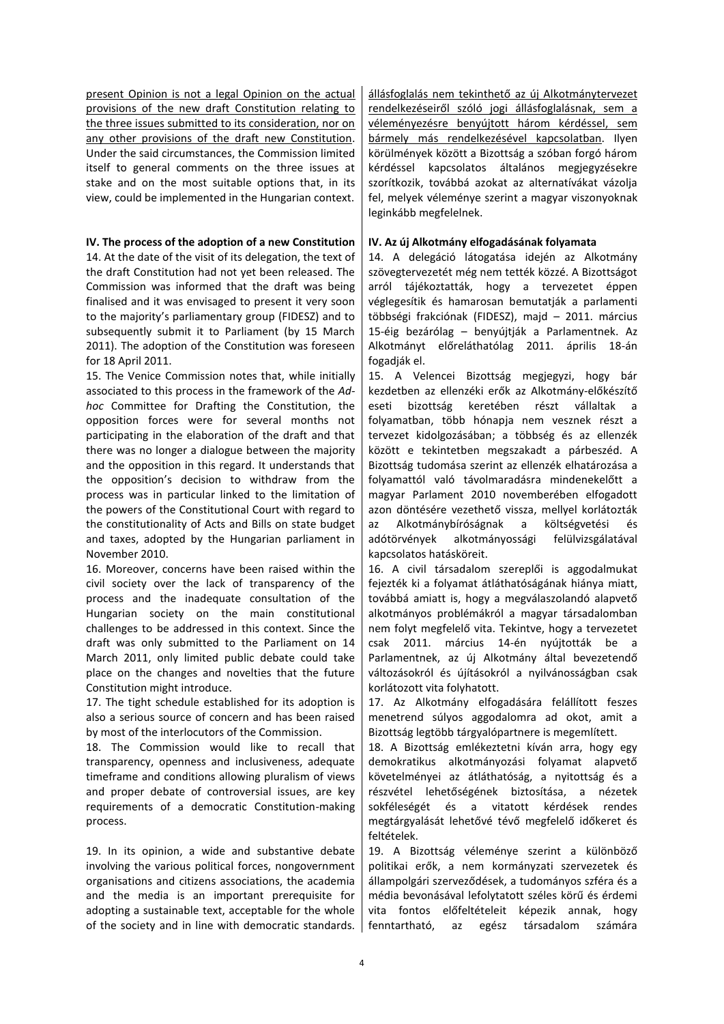present Opinion is not a legal Opinion on the actual provisions of the new draft Constitution relating to the three issues submitted to its consideration, nor on any other provisions of the draft new Constitution. Under the said circumstances, the Commission limited itself to general comments on the three issues at stake and on the most suitable options that, in its view, could be implemented in the Hungarian context.

# **IV. The process of the adoption of a new Constitution IV. Az új Alkotmány elfogadásának folyamata**

14. At the date of the visit of its delegation, the text of the draft Constitution had not yet been released. The Commission was informed that the draft was being finalised and it was envisaged to present it very soon to the majority's parliamentary group (FIDESZ) and to subsequently submit it to Parliament (by 15 March 2011). The adoption of the Constitution was foreseen for 18 April 2011.

15. The Venice Commission notes that, while initially associated to this process in the framework of the *Adhoc* Committee for Drafting the Constitution, the opposition forces were for several months not participating in the elaboration of the draft and that there was no longer a dialogue between the majority and the opposition in this regard. It understands that the opposition's decision to withdraw from the process was in particular linked to the limitation of the powers of the Constitutional Court with regard to the constitutionality of Acts and Bills on state budget and taxes, adopted by the Hungarian parliament in November 2010.

16. Moreover, concerns have been raised within the civil society over the lack of transparency of the process and the inadequate consultation of the Hungarian society on the main constitutional challenges to be addressed in this context. Since the draft was only submitted to the Parliament on 14 March 2011, only limited public debate could take place on the changes and novelties that the future Constitution might introduce.

17. The tight schedule established for its adoption is also a serious source of concern and has been raised by most of the interlocutors of the Commission.

18. The Commission would like to recall that transparency, openness and inclusiveness, adequate timeframe and conditions allowing pluralism of views and proper debate of controversial issues, are key requirements of a democratic Constitution-making process.

19. In its opinion, a wide and substantive debate involving the various political forces, nongovernment organisations and citizens associations, the academia and the media is an important prerequisite for adopting a sustainable text, acceptable for the whole of the society and in line with democratic standards. állásfoglalás nem tekinthető az új Alkotmánytervezet rendelkezéseiről szóló jogi állásfoglalásnak, sem a véleményezésre benyújtott három kérdéssel, sem bármely más rendelkezésével kapcsolatban. Ilyen körülmények között a Bizottság a szóban forgó három kérdéssel kapcsolatos általános megjegyzésekre szorítkozik, továbbá azokat az alternatívákat vázolja fel, melyek véleménye szerint a magyar viszonyoknak leginkább megfelelnek.

14. A delegáció látogatása idején az Alkotmány szövegtervezetét még nem tették közzé. A Bizottságot arról tájékoztatták, hogy a tervezetet éppen véglegesítik és hamarosan bemutatják a parlamenti többségi frakciónak (FIDESZ), majd – 2011. március 15-éig bezárólag – benyújtják a Parlamentnek. Az Alkotmányt előreláthatólag 2011. április 18-án fogadják el.

15. A Velencei Bizottság megjegyzi, hogy bár kezdetben az ellenzéki erők az Alkotmány-előkészítő eseti bizottság keretében részt vállaltak a folyamatban, több hónapja nem vesznek részt a tervezet kidolgozásában; a többség és az ellenzék között e tekintetben megszakadt a párbeszéd. A Bizottság tudomása szerint az ellenzék elhatározása a folyamattól való távolmaradásra mindenekelőtt a magyar Parlament 2010 novemberében elfogadott azon döntésére vezethető vissza, mellyel korlátozták az Alkotmánybíróságnak a költségvetési és adótörvények alkotmányossági felülvizsgálatával kapcsolatos hatásköreit.

16. A civil társadalom szereplői is aggodalmukat fejezték ki a folyamat átláthatóságának hiánya miatt, továbbá amiatt is, hogy a megválaszolandó alapvető alkotmányos problémákról a magyar társadalomban nem folyt megfelelő vita. Tekintve, hogy a tervezetet csak 2011. március 14-én nyújtották be a Parlamentnek, az új Alkotmány által bevezetendő változásokról és újításokról a nyilvánosságban csak korlátozott vita folyhatott.

17. Az Alkotmány elfogadására felállított feszes menetrend súlyos aggodalomra ad okot, amit a Bizottság legtöbb tárgyalópartnere is megemlített.

18. A Bizottság emlékeztetni kíván arra, hogy egy demokratikus alkotmányozási folyamat alapvető követelményei az átláthatóság, a nyitottság és a részvétel lehetőségének biztosítása, a nézetek sokféleségét és a vitatott kérdések rendes megtárgyalását lehetővé tévő megfelelő időkeret és feltételek.

19. A Bizottság véleménye szerint a különböző politikai erők, a nem kormányzati szervezetek és állampolgári szerveződések, a tudományos szféra és a média bevonásával lefolytatott széles körű és érdemi vita fontos előfeltételeit képezik annak, hogy fenntartható, az egész társadalom számára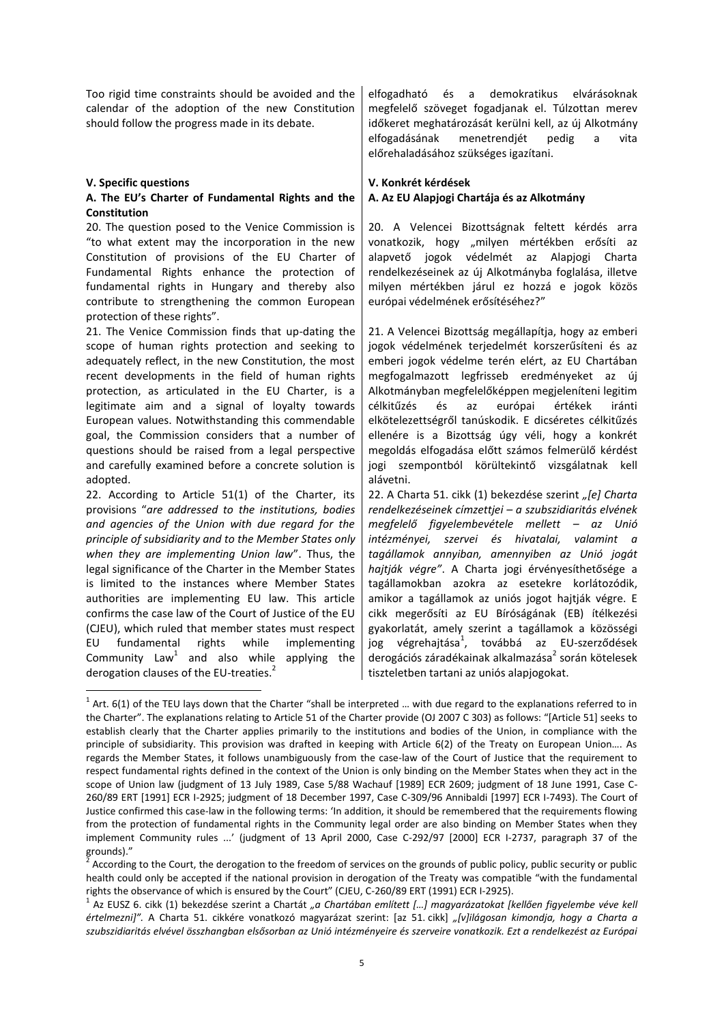Too rigid time constraints should be avoided and the calendar of the adoption of the new Constitution should follow the progress made in its debate.

### **V. Specific questions V. Konkrét kérdések**

**.** 

# **A. The EU's Charter of Fundamental Rights and the Constitution**

20. The question posed to the Venice Commission is "to what extent may the incorporation in the new Constitution of provisions of the EU Charter of Fundamental Rights enhance the protection of fundamental rights in Hungary and thereby also contribute to strengthening the common European protection of these rights".

21. The Venice Commission finds that up-dating the scope of human rights protection and seeking to adequately reflect, in the new Constitution, the most recent developments in the field of human rights protection, as articulated in the EU Charter, is a legitimate aim and a signal of loyalty towards European values. Notwithstanding this commendable goal, the Commission considers that a number of questions should be raised from a legal perspective and carefully examined before a concrete solution is adopted.

22. According to Article 51(1) of the Charter, its provisions "*are addressed to the institutions, bodies and agencies of the Union with due regard for the principle of subsidiarity and to the Member States only when they are implementing Union law*". Thus, the legal significance of the Charter in the Member States is limited to the instances where Member States authorities are implementing EU law. This article confirms the case law of the Court of Justice of the EU (CJEU), which ruled that member states must respect EU fundamental rights while implementing Community  $Law<sup>1</sup>$  and also while applying the derogation clauses of the EU-treaties. $2^2$ 

elfogadható és a demokratikus elvárásoknak megfelelő szöveget fogadjanak el. Túlzottan merev időkeret meghatározását kerülni kell, az új Alkotmány elfogadásának menetrendjét pedig a vita előrehaladásához szükséges igazítani.

# **A. Az EU Alapjogi Chartája és az Alkotmány**

20. A Velencei Bizottságnak feltett kérdés arra vonatkozik, hogy "milyen mértékben erősíti az alapvető jogok védelmét az Alapjogi Charta rendelkezéseinek az új Alkotmányba foglalása, illetve milyen mértékben járul ez hozzá e jogok közös európai védelmének erősítéséhez?"

21. A Velencei Bizottság megállapítja, hogy az emberi jogok védelmének terjedelmét korszerűsíteni és az emberi jogok védelme terén elért, az EU Chartában megfogalmazott legfrisseb eredményeket az új Alkotmányban megfelelőképpen megjeleníteni legitim célkitűzés és az európai értékek iránti elkötelezettségről tanúskodik. E dicséretes célkitűzés ellenére is a Bizottság úgy véli, hogy a konkrét megoldás elfogadása előtt számos felmerülő kérdést jogi szempontból körültekintő vizsgálatnak kell alávetni.

22. A Charta 51. cikk (1) bekezdése szerint *"[e] Charta rendelkezéseinek címzettjei – a szubszidiaritás elvének megfelelő figyelembevétele mellett – az Unió intézményei, szervei és hivatalai, valamint a tagállamok annyiban, amennyiben az Unió jogát hajtják végre"*. A Charta jogi érvényesíthetősége a tagállamokban azokra az esetekre korlátozódik, amikor a tagállamok az uniós jogot hajtják végre. E cikk megerősíti az EU Bíróságának (EB) ítélkezési gyakorlatát, amely szerint a tagállamok a közösségi jog végrehajtása<sup>1</sup>, továbbá az EU-szerződések derogációs záradékainak alkalmazása<sup>2</sup> során kötelesek tiszteletben tartani az uniós alapjogokat.

 $1$  Art. 6(1) of the TEU lays down that the Charter "shall be interpreted ... with due regard to the explanations referred to in the Charter". The explanations relating to Article 51 of the Charter provide (OJ 2007 C 303) as follows: "[Article 51] seeks to establish clearly that the Charter applies primarily to the institutions and bodies of the Union, in compliance with the principle of subsidiarity. This provision was drafted in keeping with Article 6(2) of the Treaty on European Union…. As regards the Member States, it follows unambiguously from the case-law of the Court of Justice that the requirement to respect fundamental rights defined in the context of the Union is only binding on the Member States when they act in the scope of Union law (judgment of 13 July 1989, Case 5/88 Wachauf [1989] ECR 2609; judgment of 18 June 1991, Case C-260/89 ERT [1991] ECR I-2925; judgment of 18 December 1997, Case C-309/96 Annibaldi [1997] ECR I-7493). The Court of Justice confirmed this case-law in the following terms: 'In addition, it should be remembered that the requirements flowing from the protection of fundamental rights in the Community legal order are also binding on Member States when they implement Community rules ...' (judgment of 13 April 2000, Case C-292/97 [2000] ECR I-2737, paragraph 37 of the grounds)."

<sup>2</sup> According to the Court, the derogation to the freedom of services on the grounds of public policy, public security or public health could only be accepted if the national provision in derogation of the Treaty was compatible "with the fundamental rights the observance of which is ensured by the Court" (CJEU, C-260/89 ERT (1991) ECR I-2925).

<sup>&</sup>lt;sup>1</sup> Az EUSZ 6. cikk (1) bekezdése szerint a Chartát "a Chartában említett […] magyarázatokat [kellően figyelembe véve kell értelmezni*]"*. A Charta 51. cikkére vonatkozó magyarázat szerint: [az 51. cikk] "[v]ilágosan kimondja, hogy a Charta a *szubszidiaritás elvével összhangban elsősorban az Unió intézményeire és szerveire vonatkozik. Ezt a rendelkezést az Európai*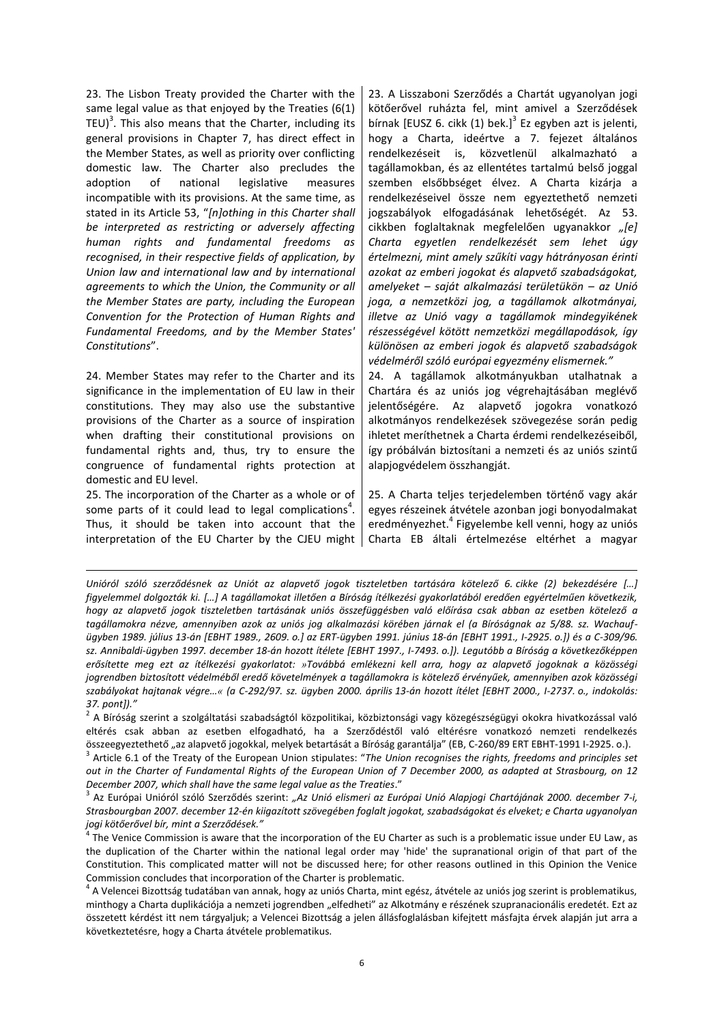23. The Lisbon Treaty provided the Charter with the same legal value as that enjoyed by the Treaties (6(1) TEU)<sup>3</sup>. This also means that the Charter, including its general provisions in Chapter 7, has direct effect in the Member States, as well as priority over conflicting domestic law. The Charter also precludes the adoption of national legislative measures incompatible with its provisions. At the same time, as stated in its Article 53, "*[n]othing in this Charter shall be interpreted as restricting or adversely affecting human rights and fundamental freedoms as recognised, in their respective fields of application, by Union law and international law and by international agreements to which the Union, the Community or all the Member States are party, including the European Convention for the Protection of Human Rights and Fundamental Freedoms, and by the Member States' Constitutions*".

24. Member States may refer to the Charter and its significance in the implementation of EU law in their constitutions. They may also use the substantive provisions of the Charter as a source of inspiration when drafting their constitutional provisions on fundamental rights and, thus, try to ensure the congruence of fundamental rights protection at domestic and EU level.

25. The incorporation of the Charter as a whole or of some parts of it could lead to legal complications<sup>4</sup>. Thus, it should be taken into account that the interpretation of the EU Charter by the CJEU might

 $\ddot{\phantom{a}}$ 

23. A Lisszaboni Szerződés a Chartát ugyanolyan jogi kötőerővel ruházta fel, mint amivel a Szerződések bírnak [EUSZ 6. cikk  $(1)$  bek.]<sup>3</sup> Ez egyben azt is jelenti, hogy a Charta, ideértve a 7. fejezet általános rendelkezéseit is, közvetlenül alkalmazható a tagállamokban, és az ellentétes tartalmú belső joggal szemben elsőbbséget élvez. A Charta kizárja a rendelkezéseivel össze nem egyeztethető nemzeti jogszabályok elfogadásának lehetőségét. Az 53. cikkben foglaltaknak megfelelően ugyanakkor *"[e] Charta egyetlen rendelkezését sem lehet úgy értelmezni, mint amely szűkíti vagy hátrányosan érinti azokat az emberi jogokat és alapvető szabadságokat, amelyeket – saját alkalmazási területükön – az Unió joga, a nemzetközi jog, a tagállamok alkotmányai, illetve az Unió vagy a tagállamok mindegyikének részességével kötött nemzetközi megállapodások, így különösen az emberi jogok és alapvető szabadságok védelméről szóló európai egyezmény elismernek."*

24. A tagállamok alkotmányukban utalhatnak a Chartára és az uniós jog végrehajtásában meglévő jelentőségére. Az alapvető jogokra vonatkozó alkotmányos rendelkezések szövegezése során pedig ihletet meríthetnek a Charta érdemi rendelkezéseiből, így próbálván biztosítani a nemzeti és az uniós szintű alapjogvédelem összhangját.

25. A Charta teljes terjedelemben történő vagy akár egyes részeinek átvétele azonban jogi bonyodalmakat eredményezhet.<sup>4</sup> Figyelembe kell venni, hogy az uniós Charta EB általi értelmezése eltérhet a magyar

*Unióról szóló szerződésnek az Uniót az alapvető jogok tiszteletben tartására kötelező 6. cikke (2) bekezdésére […] figyelemmel dolgozták ki. \*…+ A tagállamokat illetően a Bíróság ítélkezési gyakorlatából eredően egyértelműen következik, hogy az alapvető jogok tiszteletben tartásának uniós összefüggésben való előírása csak abban az esetben kötelező a tagállamokra nézve, amennyiben azok az uniós jog alkalmazási körében járnak el (a Bíróságnak az 5/88. sz. Wachaufügyben 1989. július 13-án \*EBHT 1989., 2609. o.] az ERT-ügyben 1991. június 18-án \*EBHT 1991., I-2925. o.+) és a C-309/96. sz. Annibaldi-ügyben 1997. december 18-án hozott ítélete \*EBHT 1997., I-7493. o.+). Legutóbb a Bíróság a következőképpen erősítette meg ezt az ítélkezési gyakorlatot: »Továbbá emlékezni kell arra, hogy az alapvető jogoknak a közösségi jogrendben biztosított védelméből eredő követelmények a tagállamokra is kötelező érvényűek, amennyiben azok közösségi szabályokat hajtanak végre…« (a C-292/97. sz. ügyben 2000. április 13-án hozott ítélet \*EBHT 2000., I-2737. o., indokolás:*  37. pont])."

 $^2$  A Bíróság szerint a szolgáltatási szabadságtól közpolitikai, közbiztonsági vagy közegészségügyi okokra hivatkozással való eltérés csak abban az esetben elfogadható, ha a Szerződéstől való eltérésre vonatkozó nemzeti rendelkezés összeegyeztethető "az alapvető jogokkal, melyek betartását a Bíróság garantálja" (EB, C-260/89 ERT EBHT-1991 I-2925. o.).

<sup>3</sup> Article 6.1 of the Treaty of the European Union stipulates: "*The Union recognises the rights, freedoms and principles set out in the Charter of Fundamental Rights of the European Union of 7 December 2000, as adapted at Strasbourg, on 12 December 2007, which shall have the same legal value as the Treaties*."

<sup>3</sup> Az Európai Unióról szóló Szerződés szerint: *"Az Unió elismeri az Európai Unió Alapjogi Chartájának 2000. december 7-i, Strasbourgban 2007. december 12-én kiigazított szövegében foglalt jogokat, szabadságokat és elveket; e Charta ugyanolyan jogi kötőerővel bír, mint a Szerződések."*

<sup>&</sup>lt;sup>4</sup> The Venice Commission is aware that the incorporation of the EU Charter as such is a problematic issue under EU Law, as the duplication of the Charter within the national legal order may 'hide' the supranational origin of that part of the Constitution. This complicated matter will not be discussed here; for other reasons outlined in this Opinion the Venice Commission concludes that incorporation of the Charter is problematic.

<sup>&</sup>lt;sup>4</sup> A Velencei Bizottság tudatában van annak, hogy az uniós Charta, mint egész, átvétele az uniós jog szerint is problematikus, minthogy a Charta duplikációja a nemzeti jogrendben "elfedheti" az Alkotmány e részének szupranacionális eredetét. Ezt az összetett kérdést itt nem tárgyaljuk; a Velencei Bizottság a jelen állásfoglalásban kifejtett másfajta érvek alapján jut arra a következtetésre, hogy a Charta átvétele problematikus.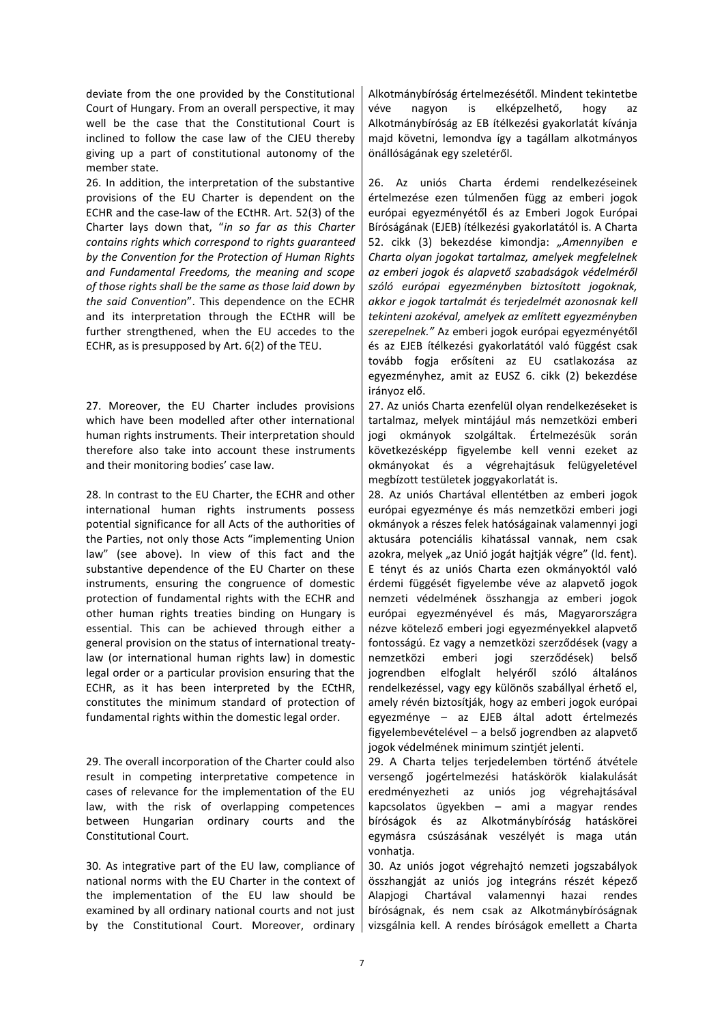deviate from the one provided by the Constitutional Court of Hungary. From an overall perspective, it may well be the case that the Constitutional Court is inclined to follow the case law of the CJEU thereby giving up a part of constitutional autonomy of the member state.

26. In addition, the interpretation of the substantive provisions of the EU Charter is dependent on the ECHR and the case-law of the ECtHR. Art. 52(3) of the Charter lays down that, "*in so far as this Charter contains rights which correspond to rights guaranteed by the Convention for the Protection of Human Rights and Fundamental Freedoms, the meaning and scope of those rights shall be the same as those laid down by the said Convention*". This dependence on the ECHR and its interpretation through the ECtHR will be further strengthened, when the EU accedes to the ECHR, as is presupposed by Art. 6(2) of the TEU.

27. Moreover, the EU Charter includes provisions which have been modelled after other international human rights instruments. Their interpretation should therefore also take into account these instruments and their monitoring bodies' case law.

28. In contrast to the EU Charter, the ECHR and other international human rights instruments possess potential significance for all Acts of the authorities of the Parties, not only those Acts "implementing Union law" (see above). In view of this fact and the substantive dependence of the EU Charter on these instruments, ensuring the congruence of domestic protection of fundamental rights with the ECHR and other human rights treaties binding on Hungary is essential. This can be achieved through either a general provision on the status of international treatylaw (or international human rights law) in domestic legal order or a particular provision ensuring that the ECHR, as it has been interpreted by the ECtHR, constitutes the minimum standard of protection of fundamental rights within the domestic legal order.

29. The overall incorporation of the Charter could also result in competing interpretative competence in cases of relevance for the implementation of the EU law, with the risk of overlapping competences between Hungarian ordinary courts and the Constitutional Court.

30. As integrative part of the EU law, compliance of national norms with the EU Charter in the context of the implementation of the EU law should be examined by all ordinary national courts and not just by the Constitutional Court. Moreover, ordinary Alkotmánybíróság értelmezésétől. Mindent tekintetbe véve nagyon is elképzelhető, hogy az Alkotmánybíróság az EB ítélkezési gyakorlatát kívánja majd követni, lemondva így a tagállam alkotmányos önállóságának egy szeletéről.

26. Az uniós Charta érdemi rendelkezéseinek értelmezése ezen túlmenően függ az emberi jogok európai egyezményétől és az Emberi Jogok Európai Bíróságának (EJEB) ítélkezési gyakorlatától is. A Charta 52. cikk (3) bekezdése kimondja: *"Amennyiben e Charta olyan jogokat tartalmaz, amelyek megfelelnek az emberi jogok és alapvető szabadságok védelméről szóló európai egyezményben biztosított jogoknak, akkor e jogok tartalmát és terjedelmét azonosnak kell tekinteni azokéval, amelyek az említett egyezményben szerepelnek."* Az emberi jogok európai egyezményétől és az EJEB ítélkezési gyakorlatától való függést csak tovább fogja erősíteni az EU csatlakozása az egyezményhez, amit az EUSZ 6. cikk (2) bekezdése irányoz elő.

27. Az uniós Charta ezenfelül olyan rendelkezéseket is tartalmaz, melyek mintájául más nemzetközi emberi jogi okmányok szolgáltak. Értelmezésük során következésképp figyelembe kell venni ezeket az okmányokat és a végrehajtásuk felügyeletével megbízott testületek joggyakorlatát is.

28. Az uniós Chartával ellentétben az emberi jogok európai egyezménye és más nemzetközi emberi jogi okmányok a részes felek hatóságainak valamennyi jogi aktusára potenciális kihatással vannak, nem csak azokra, melyek "az Unió jogát hajtják végre" (ld. fent). E tényt és az uniós Charta ezen okmányoktól való érdemi függését figyelembe véve az alapvető jogok nemzeti védelmének összhangja az emberi jogok európai egyezményével és más, Magyarországra nézve kötelező emberi jogi egyezményekkel alapvető fontosságú. Ez vagy a nemzetközi szerződések (vagy a nemzetközi emberi jogi szerződések) belső jogrendben elfoglalt helyéről szóló általános rendelkezéssel, vagy egy különös szabállyal érhető el, amely révén biztosítják, hogy az emberi jogok európai egyezménye – az EJEB által adott értelmezés figyelembevételével – a belső jogrendben az alapvető jogok védelmének minimum szintjét jelenti.

29. A Charta teljes terjedelemben történő átvétele versengő jogértelmezési hatáskörök kialakulását eredményezheti az uniós jog végrehajtásával kapcsolatos ügyekben – ami a magyar rendes bíróságok és az Alkotmánybíróság hatáskörei egymásra csúszásának veszélyét is maga után vonhatia.

30. Az uniós jogot végrehajtó nemzeti jogszabályok összhangját az uniós jog integráns részét képező Alapjogi Chartával valamennyi hazai rendes bíróságnak, és nem csak az Alkotmánybíróságnak vizsgálnia kell. A rendes bíróságok emellett a Charta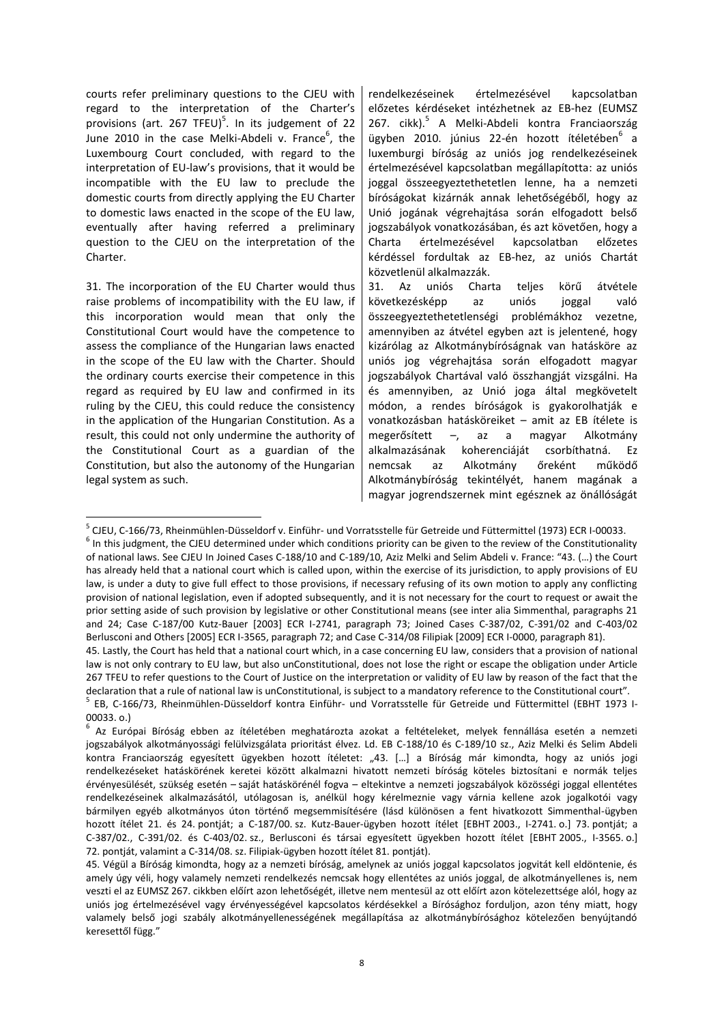courts refer preliminary questions to the CJEU with regard to the interpretation of the Charter's provisions (art.  $267$  TFEU)<sup>5</sup>. In its judgement of 22 June 2010 in the case Melki-Abdeli v. France $^6$ , the Luxembourg Court concluded, with regard to the interpretation of EU-law's provisions, that it would be incompatible with the EU law to preclude the domestic courts from directly applying the EU Charter to domestic laws enacted in the scope of the EU law, eventually after having referred a preliminary question to the CJEU on the interpretation of the Charter.

31. The incorporation of the EU Charter would thus raise problems of incompatibility with the EU law, if this incorporation would mean that only the Constitutional Court would have the competence to assess the compliance of the Hungarian laws enacted in the scope of the EU law with the Charter. Should the ordinary courts exercise their competence in this regard as required by EU law and confirmed in its ruling by the CJEU, this could reduce the consistency in the application of the Hungarian Constitution. As a result, this could not only undermine the authority of the Constitutional Court as a guardian of the Constitution, but also the autonomy of the Hungarian legal system as such.

**.** 

rendelkezéseinek értelmezésével kapcsolatban előzetes kérdéseket intézhetnek az EB-hez (EUMSZ 267. cikk).<sup>5</sup> A Melki-Abdeli kontra Franciaország ügyben 2010. június 22-én hozott ítéletében<sup>6</sup> a luxemburgi bíróság az uniós jog rendelkezéseinek értelmezésével kapcsolatban megállapította: az uniós joggal összeegyeztethetetlen lenne, ha a nemzeti bíróságokat kizárnák annak lehetőségéből, hogy az Unió jogának végrehajtása során elfogadott belső jogszabályok vonatkozásában, és azt követően, hogy a Charta értelmezésével kapcsolatban előzetes kérdéssel fordultak az EB-hez, az uniós Chartát közvetlenül alkalmazzák.

31. Az uniós Charta teljes körű átvétele következésképp az uniós joggal való összeegyeztethetetlenségi problémákhoz vezetne, amennyiben az átvétel egyben azt is jelentené, hogy kizárólag az Alkotmánybíróságnak van hatásköre az uniós jog végrehajtása során elfogadott magyar jogszabályok Chartával való összhangját vizsgálni. Ha és amennyiben, az Unió joga által megkövetelt módon, a rendes bíróságok is gyakorolhatják e vonatkozásban hatásköreiket – amit az EB ítélete is megerősített –, az a magyar Alkotmány alkalmazásának koherenciáját csorbíthatná. Ez nemcsak az Alkotmány őreként működő Alkotmánybíróság tekintélyét, hanem magának a magyar jogrendszernek mint egésznek az önállóságát

 $<sup>6</sup>$  In this judgment, the CJEU determined under which conditions priority can be given to the review of the Constitutionality</sup> of national laws. See CJEU In Joined Cases C-188/10 and C-189/10, Aziz Melki and Selim Abdeli v. France: "43. (…) the Court has already held that a national court which is called upon, within the exercise of its jurisdiction, to apply provisions of EU law, is under a duty to give full effect to those provisions, if necessary refusing of its own motion to apply any conflicting provision of national legislation, even if adopted subsequently, and it is not necessary for the court to request or await the prior setting aside of such provision by legislative or other Constitutional means (see inter alia Simmenthal, paragraphs 21 and 24; Case C-187/00 Kutz-Bauer [2003] ECR I-2741, paragraph 73; Joined Cases C-387/02, C-391/02 and C-403/02 Berlusconi and Others [2005] ECR I-3565, paragraph 72; and Case C-314/08 Filipiak [2009] ECR I-0000, paragraph 81).

<sup>&</sup>lt;sup>5</sup> CJEU, C-166/73, Rheinmühlen-Düsseldorf v. Einführ- und Vorratsstelle für Getreide und Füttermittel (1973) ECR I-00033.

<sup>45.</sup> Lastly, the Court has held that a national court which, in a case concerning EU law, considers that a provision of national law is not only contrary to EU law, but also unConstitutional, does not lose the right or escape the obligation under Article 267 TFEU to refer questions to the Court of Justice on the interpretation or validity of EU law by reason of the fact that the declaration that a rule of national law is unConstitutional, is subject to a mandatory reference to the Constitutional court".

<sup>&</sup>lt;sup>5</sup> EB, C-166/73, Rheinmühlen-Düsseldorf kontra Einführ- und Vorratsstelle für Getreide und Füttermittel (EBHT 1973 I-00033. o.)

<sup>6</sup> Az Európai Bíróság ebben az ítéletében meghatározta azokat a feltételeket, melyek fennállása esetén a nemzeti jogszabályok alkotmányossági felülvizsgálata prioritást élvez. Ld. EB C-188/10 és C-189/10 sz., Aziz Melki és Selim Abdeli kontra Franciaország egyesített ügyekben hozott ítéletet: "43. [...] a Bíróság már kimondta, hogy az uniós jogi rendelkezéseket hatáskörének keretei között alkalmazni hivatott nemzeti bíróság köteles biztosítani e normák teljes érvényesülését, szükség esetén – saját hatáskörénél fogva – eltekintve a nemzeti jogszabályok közösségi joggal ellentétes rendelkezéseinek alkalmazásától, utólagosan is, anélkül hogy kérelmeznie vagy várnia kellene azok jogalkotói vagy bármilyen egyéb alkotmányos úton történő megsemmisítésére (lásd különösen a fent hivatkozott Simmenthal-ügyben hozott ítélet 21. és 24. pontját; a C-187/00. sz. Kutz-Bauer-ügyben hozott ítélet [EBHT 2003., I-2741. o.] 73. pontját; a C-387/02., C-391/02. és C-403/02. sz., Berlusconi és társai egyesített ügyekben hozott ítélet [EBHT 2005., I-3565. o.] 72. pontját, valamint a C-314/08. sz. Filipiak-ügyben hozott ítélet 81. pontját).

<sup>45.</sup> Végül a Bíróság kimondta, hogy az a nemzeti bíróság, amelynek az uniós joggal kapcsolatos jogvitát kell eldöntenie, és amely úgy véli, hogy valamely nemzeti rendelkezés nemcsak hogy ellentétes az uniós joggal, de alkotmányellenes is, nem veszti el az EUMSZ 267. cikkben előírt azon lehetőségét, illetve nem mentesül az ott előírt azon kötelezettsége alól, hogy az uniós jog értelmezésével vagy érvényességével kapcsolatos kérdésekkel a Bírósághoz forduljon, azon tény miatt, hogy valamely belső jogi szabály alkotmányellenességének megállapítása az alkotmánybírósághoz kötelezően benyújtandó keresettől függ."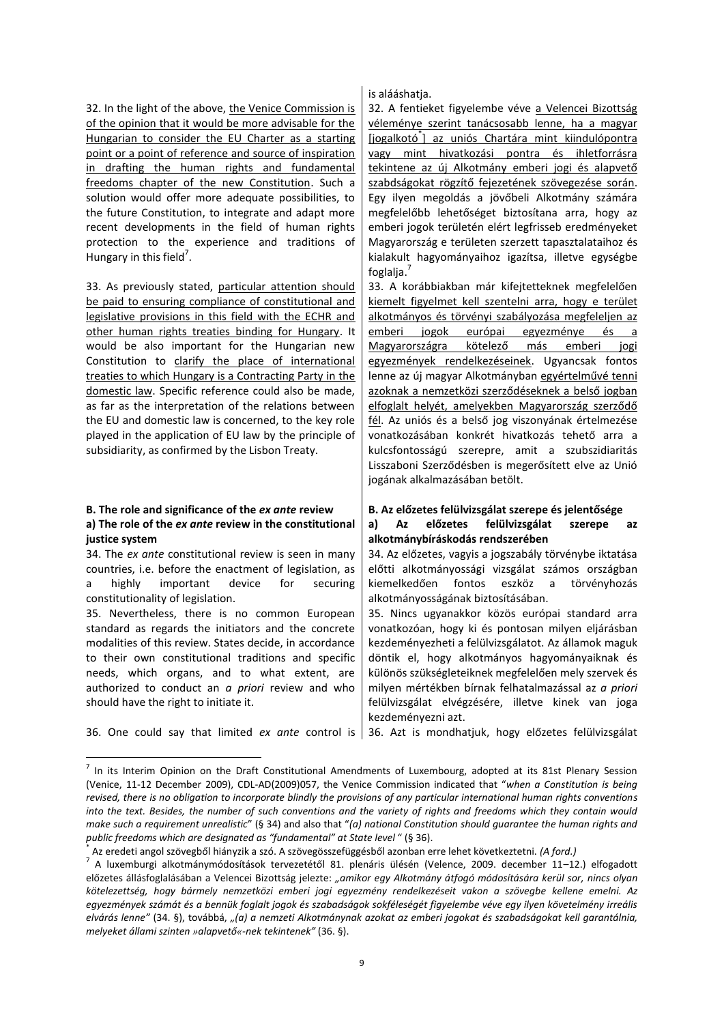32. In the light of the above, the Venice Commission is of the opinion that it would be more advisable for the Hungarian to consider the EU Charter as a starting point or a point of reference and source of inspiration in drafting the human rights and fundamental freedoms chapter of the new Constitution. Such a solution would offer more adequate possibilities, to the future Constitution, to integrate and adapt more recent developments in the field of human rights protection to the experience and traditions of Hungary in this field<sup>7</sup>.

33. As previously stated, particular attention should be paid to ensuring compliance of constitutional and legislative provisions in this field with the ECHR and other human rights treaties binding for Hungary. It would be also important for the Hungarian new Constitution to clarify the place of international treaties to which Hungary is a Contracting Party in the domestic law. Specific reference could also be made, as far as the interpretation of the relations between the EU and domestic law is concerned, to the key role played in the application of EU law by the principle of subsidiarity, as confirmed by the Lisbon Treaty.

# **B. The role and significance of the** *ex ante* **review B. Az előzetes felülvizsgálat szerepe és jelentősége a) The role of the** *ex ante* **review in the constitutional justice system**

34. The *ex ante* constitutional review is seen in many countries, i.e. before the enactment of legislation, as a highly important device for securing constitutionality of legislation.

35. Nevertheless, there is no common European standard as regards the initiators and the concrete modalities of this review. States decide, in accordance to their own constitutional traditions and specific needs, which organs, and to what extent, are authorized to conduct an *a priori* review and who should have the right to initiate it.

36. One could say that limited *ex ante* control is 36. Azt is mondhatjuk, hogy előzetes felülvizsgálat

1

is alááshatja.

32. A fentieket figyelembe véve a Velencei Bizottság véleménye szerint tanácsosabb lenne, ha a magyar [jogalkotó<sup>\*</sup>] az uniós Chartára mint kiindulópontra vagy mint hivatkozási pontra és ihletforrásra tekintene az új Alkotmány emberi jogi és alapvető szabdságokat rögzítő fejezetének szövegezése során. Egy ilyen megoldás a jövőbeli Alkotmány számára megfelelőbb lehetőséget biztosítana arra, hogy az emberi jogok területén elért legfrisseb eredményeket Magyarország e területen szerzett tapasztalataihoz és kialakult hagyományaihoz igazítsa, illetve egységbe foglalja. 7

33. A korábbiakban már kifejtetteknek megfelelően kiemelt figyelmet kell szentelni arra, hogy e terület alkotmányos és törvényi szabályozása megfeleljen az emberi jogok európai egyezménye és a Magyarországra kötelező más emberi jogi egyezmények rendelkezéseinek. Ugyancsak fontos lenne az új magyar Alkotmányban egyértelművé tenni azoknak a nemzetközi szerződéseknek a belső jogban elfoglalt helyét, amelyekben Magyarország szerződő fél. Az uniós és a belső jog viszonyának értelmezése vonatkozásában konkrét hivatkozás tehető arra a kulcsfontosságú szerepre, amit a szubszidiaritás Lisszaboni Szerződésben is megerősített elve az Unió jogának alkalmazásában betölt.

# **a) Az előzetes felülvizsgálat szerepe az**

# **alkotmánybíráskodás rendszerében** 34. Az előzetes, vagyis a jogszabály törvénybe iktatása

előtti alkotmányossági vizsgálat számos országban kiemelkedően fontos eszköz a törvényhozás alkotmányosságának biztosításában.

35. Nincs ugyanakkor közös európai standard arra vonatkozóan, hogy ki és pontosan milyen eljárásban kezdeményezheti a felülvizsgálatot. Az államok maguk döntik el, hogy alkotmányos hagyományaiknak és különös szükségleteiknek megfelelően mely szervek és milyen mértékben bírnak felhatalmazással az *a priori* felülvizsgálat elvégzésére, illetve kinek van joga kezdeményezni azt.

 $<sup>7</sup>$  In its Interim Opinion on the Draft Constitutional Amendments of Luxembourg, adopted at its 81st Plenary Session</sup> (Venice, 11-12 December 2009), CDL-AD(2009)057, the Venice Commission indicated that "*when a Constitution is being revised, there is no obligation to incorporate blindly the provisions of any particular international human rights conventions into the text. Besides, the number of such conventions and the variety of rights and freedoms which they contain would make such a requirement unrealistic*" (§ 34) and also that "*(a) national Constitution should guarantee the human rights and public freedoms which are designated as "fundamental" at State level* " (§ 36).

<sup>\*</sup> Az eredeti angol szövegből hiányzik a szó. A szövegösszefüggésből azonban erre lehet következtetni. *(A ford.)*

<sup>7</sup> A luxemburgi alkotmánymódosítások tervezetétől 81. plenáris ülésén (Velence, 2009. december 11–12.) elfogadott előzetes állásfoglalásában a Velencei Bizottság jelezte: *"amikor egy Alkotmány átfogó módosítására kerül sor, nincs olyan kötelezettség, hogy bármely nemzetközi emberi jogi egyezmény rendelkezéseit vakon a szövegbe kellene emelni. Az egyezmények számát és a bennük foglalt jogok és szabadságok sokféleségét figyelembe véve egy ilyen követelmény irreális elvárás lenne"* (34. §), továbbá, *"(a) a nemzeti Alkotmánynak azokat az emberi jogokat és szabadságokat kell garantálnia, melyeket állami szinten »alapvető«-nek tekintenek"* (36. §).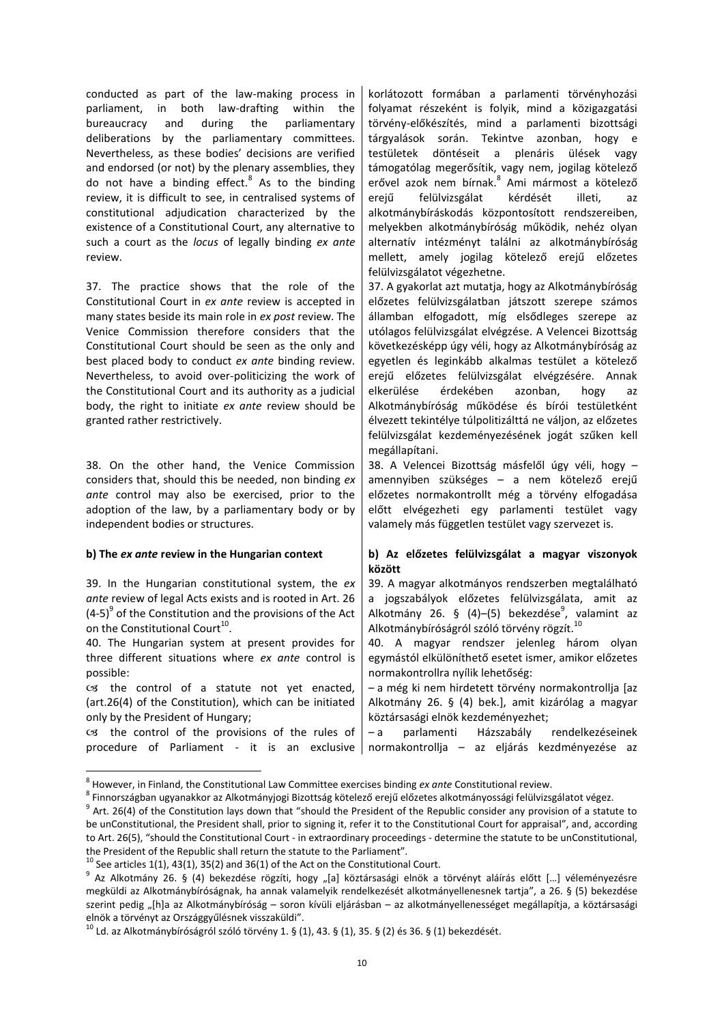conducted as part of the law-making process in parliament, in both law-drafting within the bureaucracy and during the parliamentary deliberations by the parliamentary committees. Nevertheless, as these bodies' decisions are verified and endorsed (or not) by the plenary assemblies, they do not have a binding effect.<sup>8</sup> As to the binding review, it is difficult to see, in centralised systems of constitutional adjudication characterized by the existence of a Constitutional Court, any alternative to such a court as the *locus* of legally binding *ex ante*  review.

37. The practice shows that the role of the Constitutional Court in *ex ante* review is accepted in many states beside its main role in *ex post* review. The Venice Commission therefore considers that the Constitutional Court should be seen as the only and best placed body to conduct *ex ante* binding review. Nevertheless, to avoid over-politicizing the work of the Constitutional Court and its authority as a judicial body, the right to initiate *ex ante* review should be granted rather restrictively.

38. On the other hand, the Venice Commission considers that, should this be needed, non binding *ex ante* control may also be exercised, prior to the adoption of the law, by a parliamentary body or by independent bodies or structures.

39. In the Hungarian constitutional system, the *ex ante* review of legal Acts exists and is rooted in Art. 26  $(4-5)^9$  of the Constitution and the provisions of the Act on the Constitutional Court<sup>10</sup>.

40. The Hungarian system at present provides for three different situations where *ex ante* control is possible:

 $cs$  the control of a statute not yet enacted, (art.26(4) of the Constitution), which can be initiated only by the President of Hungary;

the control of the provisions of the rules of procedure of Parliament - it is an exclusive

**.** 

korlátozott formában a parlamenti törvényhozási folyamat részeként is folyik, mind a közigazgatási törvény-előkészítés, mind a parlamenti bizottsági tárgyalások során. Tekintve azonban, hogy e testületek döntéseit a plenáris ülések vagy támogatólag megerősítik, vagy nem, jogilag kötelező erővel azok nem bírnak.<sup>8</sup> Ami mármost a kötelező erejű felülvizsgálat kérdését illeti, alkotmánybíráskodás központosított rendszereiben, melyekben alkotmánybíróság működik, nehéz olyan alternatív intézményt találni az alkotmánybíróság mellett, amely jogilag kötelező erejű előzetes felülvizsgálatot végezhetne.

37. A gyakorlat azt mutatja, hogy az Alkotmánybíróság előzetes felülvizsgálatban játszott szerepe számos államban elfogadott, míg elsődleges szerepe az utólagos felülvizsgálat elvégzése. A Velencei Bizottság következésképp úgy véli, hogy az Alkotmánybíróság az egyetlen és leginkább alkalmas testület a kötelező erejű előzetes felülvizsgálat elvégzésére. Annak elkerülése érdekében azonban, hogy az Alkotmánybíróság működése és bírói testületként élvezett tekintélye túlpolitizálttá ne váljon, az előzetes felülvizsgálat kezdeményezésének jogát szűken kell megállapítani.

38. A Velencei Bizottság másfelől úgy véli, hogy – amennyiben szükséges – a nem kötelező erejű előzetes normakontrollt még a törvény elfogadása előtt elvégezheti egy parlamenti testület vagy valamely más független testület vagy szervezet is.

# **b) The** *ex ante* **review in the Hungarian context b) Az előzetes felülvizsgálat a magyar viszonyok között**

39. A magyar alkotmányos rendszerben megtalálható a jogszabályok előzetes felülvizsgálata, amit az Alkotmány 26. § (4)–(5) bekezdése<sup>9</sup>, valamint az Alkotmánybíróságról szóló törvény rögzít.<sup>10</sup>

40. A magyar rendszer jelenleg három olyan egymástól elkülöníthető esetet ismer, amikor előzetes normakontrollra nyílik lehetőség:

– a még ki nem hirdetett törvény normakontrollja [az Alkotmány 26. § (4) bek.], amit kizárólag a magyar köztársasági elnök kezdeményezhet;

– a parlamenti Házszabály rendelkezéseinek normakontrollja – az eljárás kezdményezése az

<sup>8</sup> However, in Finland, the Constitutional Law Committee exercises binding *ex ante* Constitutional review.

<sup>&</sup>lt;sup>8</sup> Finnországban ugyanakkor az Alkotmányjogi Bizottság kötelező erejű előzetes alkotmányossági felülvizsgálatot végez.

 $9$  Art. 26(4) of the Constitution lays down that "should the President of the Republic consider any provision of a statute to be unConstitutional, the President shall, prior to signing it, refer it to the Constitutional Court for appraisal", and, according to Art. 26(5), "should the Constitutional Court - in extraordinary proceedings - determine the statute to be unConstitutional, the President of the Republic shall return the statute to the Parliament".

 $10$  See articles 1(1), 43(1), 35(2) and 36(1) of the Act on the Constitutional Court.

 $^9$  Az Alkotmány 26. § (4) bekezdése rögzíti, hogy "[a] köztársasági elnök a törvényt aláírás előtt […] véleményezésre megküldi az Alkotmánybíróságnak, ha annak valamelyik rendelkezését alkotmányellenesnek tartja", a 26. § (5) bekezdése szerint pedig "[h]a az Alkotmánybíróság – soron kívüli eljárásban – az alkotmányellenességet megállapítja, a köztársasági elnök a törvényt az Országgyűlésnek visszaküldi".

 $^{10}$  Ld. az Alkotmánybíróságról szóló törvény 1. § (1), 43. § (1), 35. § (2) és 36. § (1) bekezdését.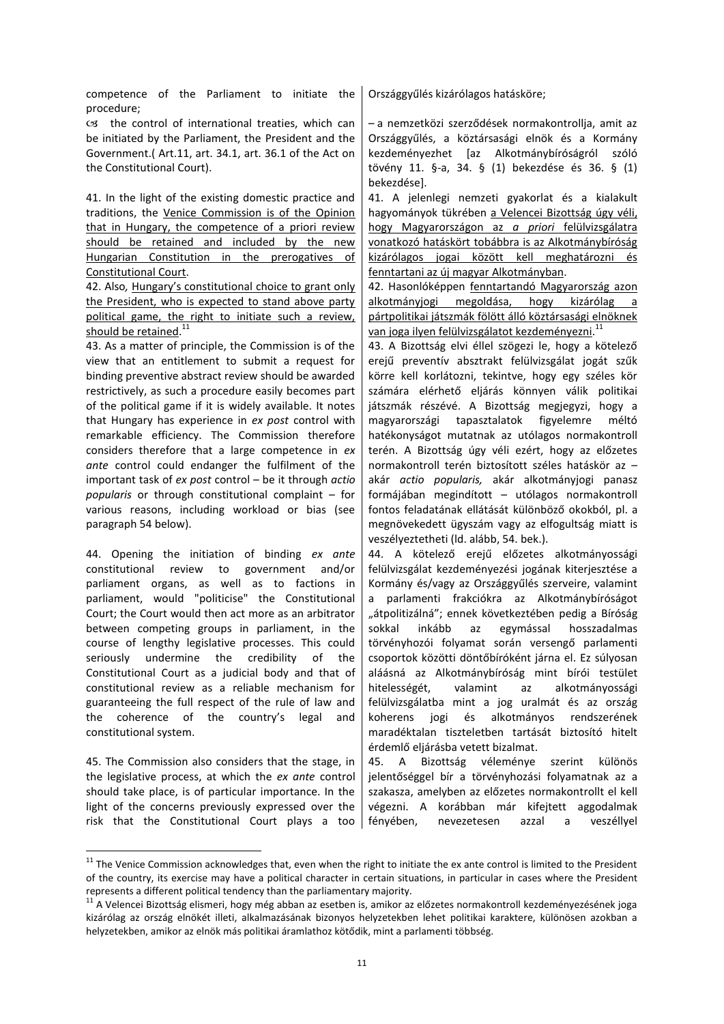competence of the Parliament to initiate the procedure;

 $cs$  the control of international treaties, which can be initiated by the Parliament, the President and the Government.( Art.11, art. 34.1, art. 36.1 of the Act on the Constitutional Court).

41. In the light of the existing domestic practice and traditions, the Venice Commission is of the Opinion that in Hungary, the competence of a priori review should be retained and included by the new Hungarian Constitution in the prerogatives of Constitutional Court.

42. Also*,* Hungary's constitutional choice to grant only the President, who is expected to stand above party political game, the right to initiate such a review, should be retained.<sup>11</sup>

43. As a matter of principle, the Commission is of the view that an entitlement to submit a request for binding preventive abstract review should be awarded restrictively, as such a procedure easily becomes part of the political game if it is widely available. It notes that Hungary has experience in *ex post* control with remarkable efficiency. The Commission therefore considers therefore that a large competence in *ex ante* control could endanger the fulfilment of the important task of *ex post* control – be it through *actio popularis* or through constitutional complaint – for various reasons, including workload or bias (see paragraph 54 below).

44. Opening the initiation of binding *ex ante*  constitutional review to government and/or parliament organs, as well as to factions in parliament, would "politicise" the Constitutional Court; the Court would then act more as an arbitrator between competing groups in parliament, in the course of lengthy legislative processes. This could seriously undermine the credibility of the Constitutional Court as a judicial body and that of constitutional review as a reliable mechanism for guaranteeing the full respect of the rule of law and the coherence of the country's legal and constitutional system.

45. The Commission also considers that the stage, in the legislative process, at which the *ex ante* control should take place, is of particular importance. In the light of the concerns previously expressed over the risk that the Constitutional Court plays a too

 $\overline{a}$ 

Országgyűlés kizárólagos hatásköre;

– a nemzetközi szerződések normakontrollja, amit az Országgyűlés, a köztársasági elnök és a Kormány kezdeményezhet [az Alkotmánybíróságról szóló tövény 11. §-a, 34. § (1) bekezdése és 36. § (1) bekezdése].

41. A jelenlegi nemzeti gyakorlat és a kialakult hagyományok tükrében a Velencei Bizottság úgy véli, hogy Magyarországon az *a priori* felülvizsgálatra vonatkozó hatáskört tobábbra is az Alkotmánybíróság kizárólagos jogai között kell meghatározni és fenntartani az új magyar Alkotmányban.

42. Hasonlóképpen fenntartandó Magyarország azon alkotmányjogi megoldása, hogy kizárólag a pártpolitikai játszmák fölött álló köztársasági elnöknek van joga ilyen felülvizsgálatot kezdeményezni.<sup>11</sup>

43. A Bizottság elvi éllel szögezi le, hogy a kötelező erejű preventív absztrakt felülvizsgálat jogát szűk körre kell korlátozni, tekintve, hogy egy széles kör számára elérhető eljárás könnyen válik politikai játszmák részévé. A Bizottság megjegyzi, hogy a magyarországi tapasztalatok figyelemre méltó hatékonyságot mutatnak az utólagos normakontroll terén. A Bizottság úgy véli ezért, hogy az előzetes normakontroll terén biztosított széles hatáskör az – akár *actio popularis,* akár alkotmányjogi panasz formájában megindított – utólagos normakontroll fontos feladatának ellátását különböző okokból, pl. a megnövekedett ügyszám vagy az elfogultság miatt is veszélyeztetheti (ld. alább, 54. bek.).

44. A kötelező erejű előzetes alkotmányossági felülvizsgálat kezdeményezési jogának kiterjesztése a Kormány és/vagy az Országgyűlés szerveire, valamint a parlamenti frakciókra az Alkotmánybíróságot "átpolitizálná"; ennek következtében pedig a Bíróság sokkal inkább az egymással hosszadalmas törvényhozói folyamat során versengő parlamenti csoportok közötti döntőbíróként járna el. Ez súlyosan aláásná az Alkotmánybíróság mint bírói testület hitelességét, valamint az alkotmányossági felülvizsgálatba mint a jog uralmát és az ország koherens jogi és alkotmányos rendszerének maradéktalan tiszteletben tartását biztosító hitelt érdemlő eljárásba vetett bizalmat.

45. A Bizottság véleménye szerint különös jelentőséggel bír a törvényhozási folyamatnak az a szakasza, amelyben az előzetes normakontrollt el kell végezni. A korábban már kifejtett aggodalmak fényében, nevezetesen azzal a veszéllyel

<sup>&</sup>lt;sup>11</sup> The Venice Commission acknowledges that, even when the right to initiate the ex ante control is limited to the President of the country, its exercise may have a political character in certain situations, in particular in cases where the President represents a different political tendency than the parliamentary majority.

<sup>&</sup>lt;sup>11</sup> A Velencei Bizottság elismeri, hogy még abban az esetben is, amikor az előzetes normakontroll kezdeményezésének joga kizárólag az ország elnökét illeti, alkalmazásának bizonyos helyzetekben lehet politikai karaktere, különösen azokban a helyzetekben, amikor az elnök más politikai áramlathoz kötődik, mint a parlamenti többség.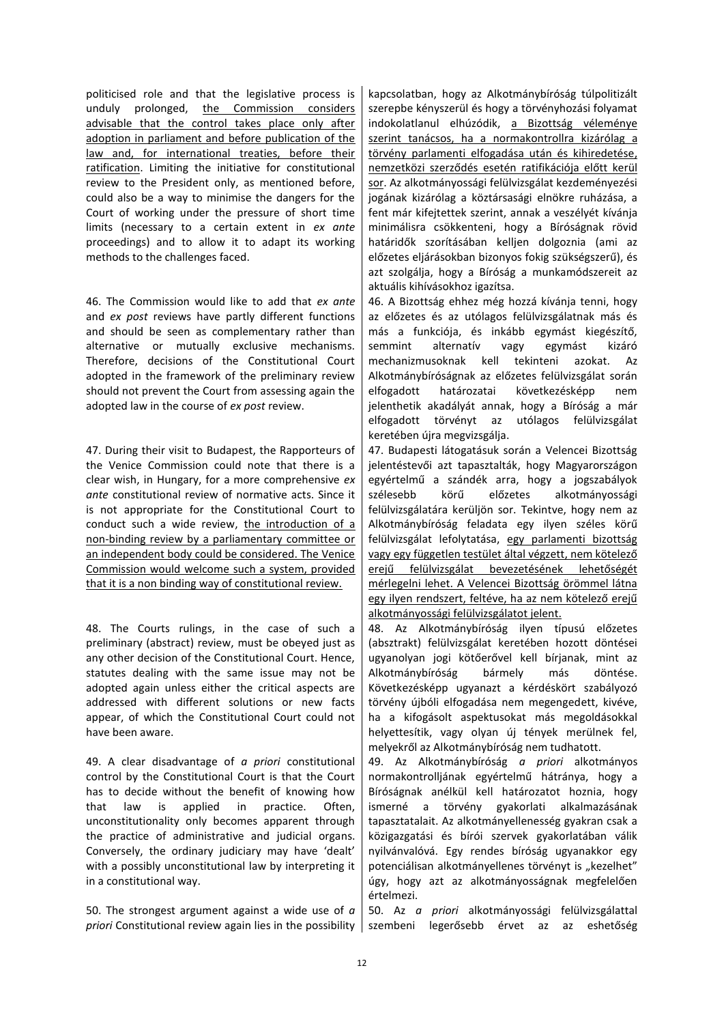politicised role and that the legislative process is unduly prolonged, the Commission considers advisable that the control takes place only after adoption in parliament and before publication of the law and, for international treaties, before their ratification. Limiting the initiative for constitutional review to the President only, as mentioned before, could also be a way to minimise the dangers for the Court of working under the pressure of short time limits (necessary to a certain extent in *ex ante*  proceedings) and to allow it to adapt its working methods to the challenges faced.

46. The Commission would like to add that *ex ante*  and *ex post* reviews have partly different functions and should be seen as complementary rather than alternative or mutually exclusive mechanisms. Therefore, decisions of the Constitutional Court adopted in the framework of the preliminary review should not prevent the Court from assessing again the adopted law in the course of *ex post* review.

47. During their visit to Budapest, the Rapporteurs of the Venice Commission could note that there is a clear wish, in Hungary, for a more comprehensive *ex ante* constitutional review of normative acts. Since it is not appropriate for the Constitutional Court to conduct such a wide review, the introduction of a non-binding review by a parliamentary committee or an independent body could be considered. The Venice Commission would welcome such a system, provided that it is a non binding way of constitutional review.

48. The Courts rulings, in the case of such a preliminary (abstract) review, must be obeyed just as any other decision of the Constitutional Court. Hence, statutes dealing with the same issue may not be adopted again unless either the critical aspects are addressed with different solutions or new facts appear, of which the Constitutional Court could not have been aware.

49. A clear disadvantage of *a priori* constitutional control by the Constitutional Court is that the Court has to decide without the benefit of knowing how that law is applied in practice. Often, unconstitutionality only becomes apparent through the practice of administrative and judicial organs. Conversely, the ordinary judiciary may have 'dealt' with a possibly unconstitutional law by interpreting it in a constitutional way.

50. The strongest argument against a wide use of *a priori* Constitutional review again lies in the possibility

kapcsolatban, hogy az Alkotmánybíróság túlpolitizált szerepbe kényszerül és hogy a törvényhozási folyamat indokolatlanul elhúzódik, a Bizottság véleménye szerint tanácsos, ha a normakontrollra kizárólag a törvény parlamenti elfogadása után és kihiredetése, nemzetközi szerződés esetén ratifikációja előtt kerül sor. Az alkotmányossági felülvizsgálat kezdeményezési jogának kizárólag a köztársasági elnökre ruházása, a fent már kifejtettek szerint, annak a veszélyét kívánja minimálisra csökkenteni, hogy a Bíróságnak rövid határidők szorításában kelljen dolgoznia (ami az előzetes eljárásokban bizonyos fokig szükségszerű), és azt szolgálja, hogy a Bíróság a munkamódszereit az aktuális kihívásokhoz igazítsa.

46. A Bizottság ehhez még hozzá kívánja tenni, hogy az előzetes és az utólagos felülvizsgálatnak más és más a funkciója, és inkább egymást kiegészítő, semmint alternatív vagy egymást kizáró mechanizmusoknak kell tekinteni azokat. Az Alkotmánybíróságnak az előzetes felülvizsgálat során elfogadott határozatai következésképp nem jelenthetik akadályát annak, hogy a Bíróság a már elfogadott törvényt az utólagos felülvizsgálat keretében újra megvizsgálja.

47. Budapesti látogatásuk során a Velencei Bizottság jelentéstevői azt tapasztalták, hogy Magyarországon egyértelmű a szándék arra, hogy a jogszabályok szélesebb körű előzetes alkotmányossági felülvizsgálatára kerüljön sor. Tekintve, hogy nem az Alkotmánybíróság feladata egy ilyen széles körű felülvizsgálat lefolytatása, egy parlamenti bizottság vagy egy független testület által végzett, nem kötelező erejű felülvizsgálat bevezetésének lehetőségét mérlegelni lehet. A Velencei Bizottság örömmel látna egy ilyen rendszert, feltéve, ha az nem kötelező erejű alkotmányossági felülvizsgálatot jelent.

48. Az Alkotmánybíróság ilyen típusú előzetes (absztrakt) felülvizsgálat keretében hozott döntései ugyanolyan jogi kötőerővel kell bírjanak, mint az Alkotmánybíróság bármely más döntése. Következésképp ugyanazt a kérdéskört szabályozó törvény újbóli elfogadása nem megengedett, kivéve, ha a kifogásolt aspektusokat más megoldásokkal helyettesítik, vagy olyan új tények merülnek fel, melyekről az Alkotmánybíróság nem tudhatott.

49. Az Alkotmánybíróság *a priori* alkotmányos normakontrolljának egyértelmű hátránya, hogy a Bíróságnak anélkül kell határozatot hoznia, hogy ismerné a törvény gyakorlati alkalmazásának tapasztatalait. Az alkotmányellenesség gyakran csak a közigazgatási és bírói szervek gyakorlatában válik nyilvánvalóvá. Egy rendes bíróság ugyanakkor egy potenciálisan alkotmányellenes törvényt is "kezelhet" úgy, hogy azt az alkotmányosságnak megfelelően értelmezi.

50. Az *a priori* alkotmányossági felülvizsgálattal szembeni legerősebb érvet az az eshetőség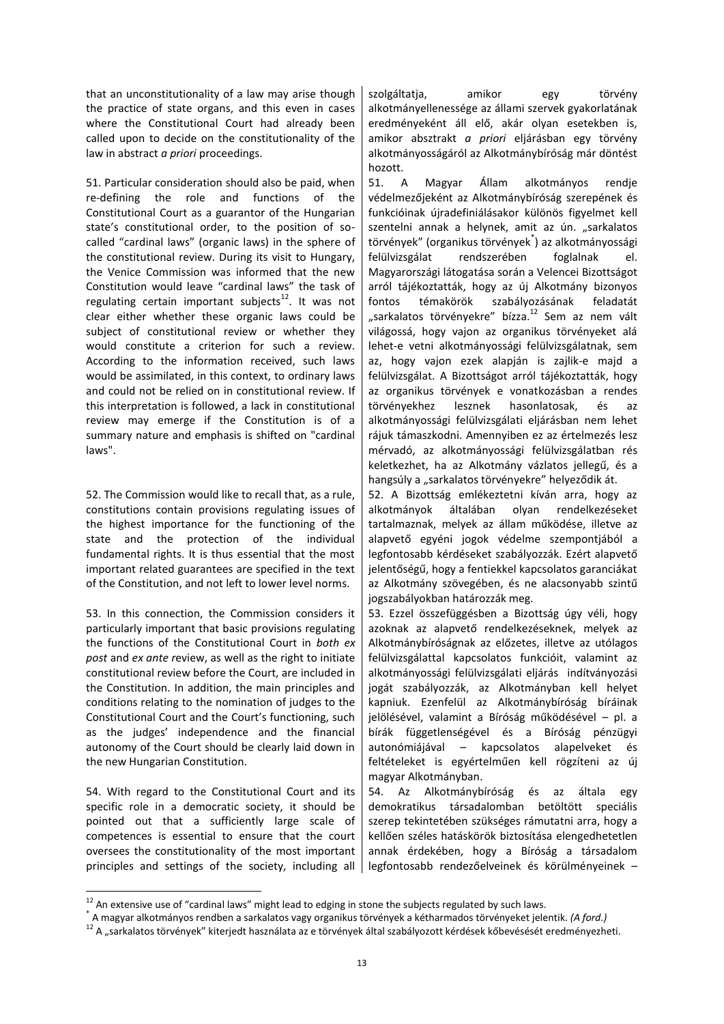that an unconstitutionality of a law may arise though the practice of state organs, and this even in cases where the Constitutional Court had already been called upon to decide on the constitutionality of the law in abstract *a priori* proceedings.

51. Particular consideration should also be paid, when re-defining the role and functions of the Constitutional Court as a guarantor of the Hungarian state's constitutional order, to the position of socalled "cardinal laws" (organic laws) in the sphere of the constitutional review. During its visit to Hungary, the Venice Commission was informed that the new Constitution would leave "cardinal laws" the task of regulating certain important subjects $12$ . It was not clear either whether these organic laws could be subject of constitutional review or whether they would constitute a criterion for such a review. According to the information received, such laws would be assimilated, in this context, to ordinary laws and could not be relied on in constitutional review. If this interpretation is followed, a lack in constitutional review may emerge if the Constitution is of a summary nature and emphasis is shifted on "cardinal laws".

52. The Commission would like to recall that, as a rule, constitutions contain provisions regulating issues of the highest importance for the functioning of the state and the protection of the individual fundamental rights. It is thus essential that the most important related guarantees are specified in the text of the Constitution, and not left to lower level norms.

53. In this connection, the Commission considers it particularly important that basic provisions regulating the functions of the Constitutional Court in *both ex post* and *ex ante r*eview, as well as the right to initiate constitutional review before the Court, are included in the Constitution. In addition, the main principles and conditions relating to the nomination of judges to the Constitutional Court and the Court's functioning, such as the judges' independence and the financial autonomy of the Court should be clearly laid down in the new Hungarian Constitution.

54. With regard to the Constitutional Court and its specific role in a democratic society, it should be pointed out that a sufficiently large scale of competences is essential to ensure that the court oversees the constitutionality of the most important principles and settings of the society, including all

 $\overline{a}$ 

szolgáltatja, amikor egy törvény alkotmányellenessége az állami szervek gyakorlatának eredményeként áll elő, akár olyan esetekben is, amikor absztrakt *a priori* eljárásban egy törvény alkotmányosságáról az Alkotmánybíróság már döntést hozott.

51. A Magyar Állam alkotmányos rendje védelmezőjeként az Alkotmánybíróság szerepének és funkcióinak újradefiniálásakor különös figyelmet kell szentelni annak a helynek, amit az ún. "sarkalatos törvények" (organikus törvények<sup>\*</sup>) az alkotmányossági felülvizsgálat rendszerében foglalnak el. Magyarországi látogatása során a Velencei Bizottságot arról tájékoztatták, hogy az új Alkotmány bizonyos fontos témakörök szabályozásának feladatát "sarkalatos törvényekre" bízza.<sup>12</sup> Sem az nem vált világossá, hogy vajon az organikus törvényeket alá lehet-e vetni alkotmányossági felülvizsgálatnak, sem az, hogy vajon ezek alapján is zajlik-e majd a felülvizsgálat. A Bizottságot arról tájékoztatták, hogy az organikus törvények e vonatkozásban a rendes törvényekhez lesznek hasonlatosak, és az alkotmányossági felülvizsgálati eljárásban nem lehet rájuk támaszkodni. Amennyiben ez az értelmezés lesz mérvadó, az alkotmányossági felülvizsgálatban rés keletkezhet, ha az Alkotmány vázlatos jellegű, és a hangsúly a "sarkalatos törvényekre" helyeződik át.

52. A Bizottság emlékeztetni kíván arra, hogy az alkotmányok általában olyan rendelkezéseket tartalmaznak, melyek az állam működése, illetve az alapvető egyéni jogok védelme szempontjából a legfontosabb kérdéseket szabályozzák. Ezért alapvető jelentőségű, hogy a fentiekkel kapcsolatos garanciákat az Alkotmány szövegében, és ne alacsonyabb szintű jogszabályokban határozzák meg.

53. Ezzel összefüggésben a Bizottság úgy véli, hogy azoknak az alapvető rendelkezéseknek, melyek az Alkotmánybíróságnak az előzetes, illetve az utólagos felülvizsgálattal kapcsolatos funkcióit, valamint az alkotmányossági felülvizsgálati eljárás indítványozási jogát szabályozzák, az Alkotmányban kell helyet kapniuk. Ezenfelül az Alkotmánybíróság bíráinak jelölésével, valamint a Bíróság működésével – pl. a bírák függetlenségével és a Bíróság pénzügyi autonómiájával – kapcsolatos alapelveket és feltételeket is egyértelműen kell rögzíteni az új magyar Alkotmányban.

54. Az Alkotmánybíróság és az általa egy demokratikus társadalomban betöltött speciális szerep tekintetében szükséges rámutatni arra, hogy a kellően széles hatáskörök biztosítása elengedhetetlen annak érdekében, hogy a Bíróság a társadalom legfontosabb rendezőelveinek és körülményeinek –

<sup>&</sup>lt;sup>12</sup> An extensive use of "cardinal laws" might lead to edging in stone the subjects regulated by such laws.

<sup>\*</sup> A magyar alkotmányos rendben a sarkalatos vagy organikus törvények a kétharmados törvényeket jelentik. *(A ford.)*

<sup>12</sup> A "sarkalatos törvények" kiterjedt használata az e törvények által szabályozott kérdések kőbevésését eredményezheti.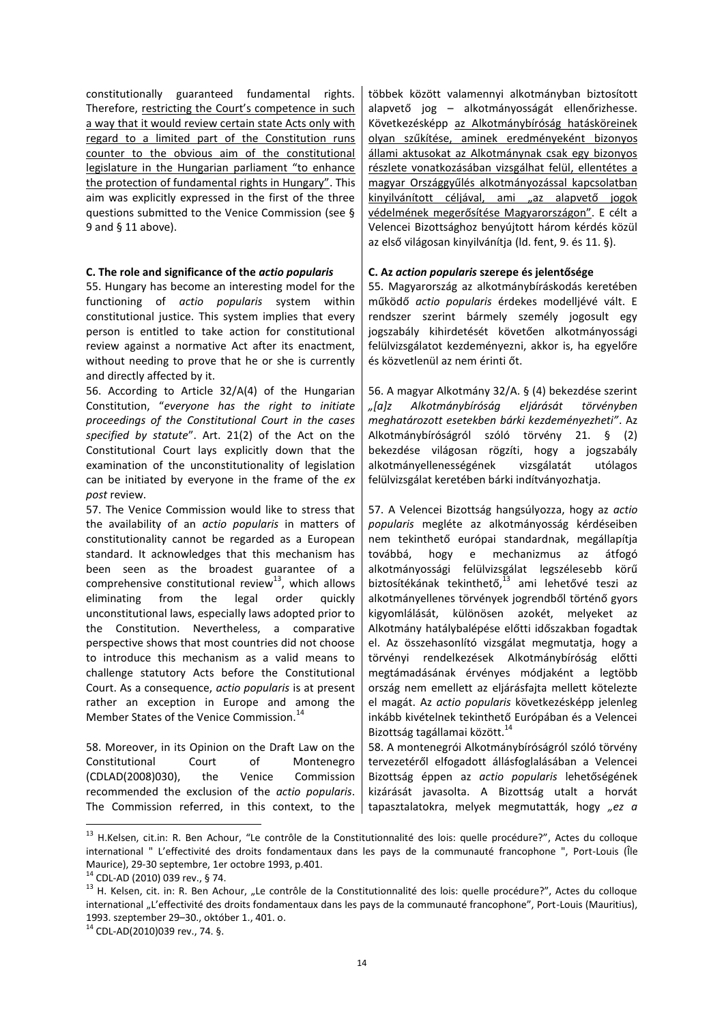constitutionally guaranteed fundamental rights. Therefore, restricting the Court's competence in such a way that it would review certain state Acts only with regard to a limited part of the Constitution runs counter to the obvious aim of the constitutional legislature in the Hungarian parliament "to enhance the protection of fundamental rights in Hungary". This aim was explicitly expressed in the first of the three questions submitted to the Venice Commission (see § 9 and § 11 above).

# **C. The role and significance of the** *actio popularis* **C. Az** *action popularis* **szerepe és jelentősége**

55. Hungary has become an interesting model for the functioning of *actio popularis* system within constitutional justice. This system implies that every person is entitled to take action for constitutional review against a normative Act after its enactment, without needing to prove that he or she is currently and directly affected by it.

56. According to Article 32/A(4) of the Hungarian Constitution, "*everyone has the right to initiate proceedings of the Constitutional Court in the cases specified by statute*". Art. 21(2) of the Act on the Constitutional Court lays explicitly down that the examination of the unconstitutionality of legislation can be initiated by everyone in the frame of the *ex post* review.

57. The Venice Commission would like to stress that the availability of an *actio popularis* in matters of constitutionality cannot be regarded as a European standard. It acknowledges that this mechanism has been seen as the broadest guarantee of a comprehensive constitutional review<sup>13</sup>, which allows eliminating from the legal order quickly unconstitutional laws, especially laws adopted prior to the Constitution. Nevertheless, a comparative perspective shows that most countries did not choose to introduce this mechanism as a valid means to challenge statutory Acts before the Constitutional Court. As a consequence, *actio popularis* is at present rather an exception in Europe and among the Member States of the Venice Commission.<sup>14</sup>

58. Moreover, in its Opinion on the Draft Law on the Constitutional Court of Montenegro (CDLAD(2008)030), the Venice Commission recommended the exclusion of the *actio popularis*. The Commission referred, in this context, to the többek között valamennyi alkotmányban biztosított alapvető jog – alkotmányosságát ellenőrizhesse. Következésképp az Alkotmánybíróság hatásköreinek olyan szűkítése, aminek eredményeként bizonyos állami aktusokat az Alkotmánynak csak egy bizonyos részlete vonatkozásában vizsgálhat felül, ellentétes a magyar Országgyűlés alkotmányozással kapcsolatban kinyilvánított céljával, ami "az alapvető jogok védelmének megerősítése Magyarországon". E célt a Velencei Bizottsághoz benyújtott három kérdés közül az első világosan kinyilvánítja (ld. fent, 9. és 11. §).

55. Magyarország az alkotmánybíráskodás keretében működő *actio popularis* érdekes modelljévé vált. E rendszer szerint bármely személy jogosult egy jogszabály kihirdetését követően alkotmányossági felülvizsgálatot kezdeményezni, akkor is, ha egyelőre és közvetlenül az nem érinti őt.

56. A magyar Alkotmány 32/A. § (4) bekezdése szerint *"\*a+z Alkotmánybíróság eljárását törvényben meghatározott esetekben bárki kezdeményezheti"*. Az Alkotmánybíróságról szóló törvény 21. § (2) bekezdése világosan rögzíti, hogy a jogszabály alkotmányellenességének vizsgálatát utólagos felülvizsgálat keretében bárki indítványozhatja.

57. A Velencei Bizottság hangsúlyozza, hogy az *actio popularis* megléte az alkotmányosság kérdéseiben nem tekinthető európai standardnak, megállapítja<br>továbbá. hogy e mechanizmus az átfogó továbbá, hogy e mechanizmus az átfogó alkotmányossági felülvizsgálat legszélesebb körű biztosítékának tekinthető, <sup>13</sup> ami lehetővé teszi az alkotmányellenes törvények jogrendből történő gyors kigyomlálását, különösen azokét, melyeket az Alkotmány hatálybalépése előtti időszakban fogadtak el. Az összehasonlító vizsgálat megmutatja, hogy a törvényi rendelkezések Alkotmánybíróság előtti megtámadásának érvényes módjaként a legtöbb ország nem emellett az eljárásfajta mellett kötelezte el magát. Az *actio popularis* következésképp jelenleg inkább kivételnek tekinthető Európában és a Velencei Bizottság tagállamai között.<sup>14</sup>

58. A montenegrói Alkotmánybíróságról szóló törvény tervezetéről elfogadott állásfoglalásában a Velencei Bizottság éppen az *actio popularis* lehetőségének kizárását javasolta. A Bizottság utalt a horvát tapasztalatokra, melyek megmutatták, hogy *"ez a* 

**.** 

<sup>&</sup>lt;sup>13</sup> H.Kelsen, cit.in: R. Ben Achour, "Le contrôle de la Constitutionnalité des lois: quelle procédure?", Actes du colloque international " L'effectivité des droits fondamentaux dans les pays de la communauté francophone ", Port-Louis (Île Maurice), 29-30 septembre, 1er octobre 1993, p.401.

<sup>14</sup> CDL-AD (2010) 039 rev., § 74.

<sup>13</sup> H. Kelsen, cit. in: R. Ben Achour, "Le contrôle de la Constitutionnalité des lois: quelle procédure?", Actes du colloque international "L'effectivité des droits fondamentaux dans les pays de la communauté francophone", Port-Louis (Mauritius), 1993. szeptember 29–30., október 1., 401. o.

<sup>14</sup> CDL-AD(2010)039 rev., 74. §.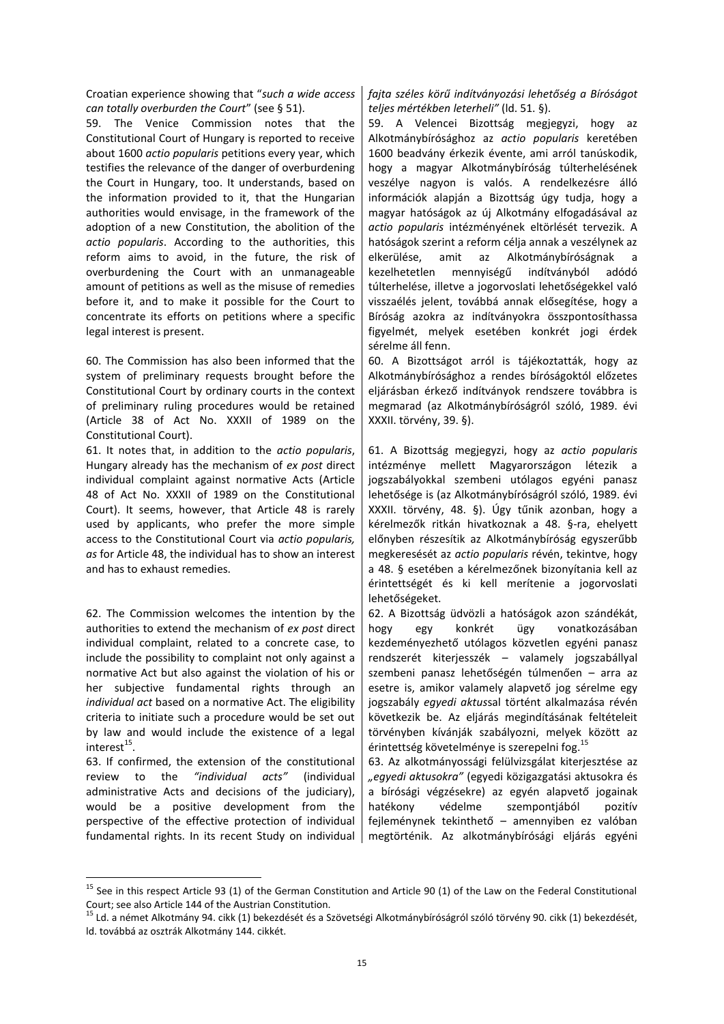Croatian experience showing that "*such a wide access can totally overburden the Court*" (see § 51).

59. The Venice Commission notes that the Constitutional Court of Hungary is reported to receive about 1600 *actio popularis* petitions every year, which testifies the relevance of the danger of overburdening the Court in Hungary, too. It understands, based on the information provided to it, that the Hungarian authorities would envisage, in the framework of the adoption of a new Constitution, the abolition of the *actio popularis*. According to the authorities, this reform aims to avoid, in the future, the risk of overburdening the Court with an unmanageable amount of petitions as well as the misuse of remedies before it, and to make it possible for the Court to concentrate its efforts on petitions where a specific legal interest is present.

60. The Commission has also been informed that the system of preliminary requests brought before the Constitutional Court by ordinary courts in the context of preliminary ruling procedures would be retained (Article 38 of Act No. XXXII of 1989 on the Constitutional Court).

61. It notes that, in addition to the *actio popularis*, Hungary already has the mechanism of *ex post* direct individual complaint against normative Acts (Article 48 of Act No. XXXII of 1989 on the Constitutional Court). It seems, however, that Article 48 is rarely used by applicants, who prefer the more simple access to the Constitutional Court via *actio popularis, as* for Article 48, the individual has to show an interest and has to exhaust remedies.

62. The Commission welcomes the intention by the authorities to extend the mechanism of *ex post* direct individual complaint, related to a concrete case, to include the possibility to complaint not only against a normative Act but also against the violation of his or her subjective fundamental rights through an *individual act* based on a normative Act. The eligibility criteria to initiate such a procedure would be set out by law and would include the existence of a legal interest $^{15}$ .

63. If confirmed, the extension of the constitutional review to the *"individual acts"* (individual administrative Acts and decisions of the judiciary), would be a positive development from the perspective of the effective protection of individual fundamental rights. In its recent Study on individual

**.** 

*fajta széles körű indítványozási lehetőség a Bíróságot teljes mértékben leterheli"* (ld. 51. §).

59. A Velencei Bizottság megjegyzi, hogy az Alkotmánybírósághoz az *actio popularis* keretében 1600 beadvány érkezik évente, ami arról tanúskodik, hogy a magyar Alkotmánybíróság túlterhelésének veszélye nagyon is valós. A rendelkezésre álló információk alapján a Bizottság úgy tudja, hogy a magyar hatóságok az új Alkotmány elfogadásával az *actio popularis* intézményének eltörlését tervezik. A hatóságok szerint a reform célja annak a veszélynek az elkerülése, amit az Alkotmánybíróságnak a kezelhetetlen mennyiségű indítványból adódó túlterhelése, illetve a jogorvoslati lehetőségekkel való visszaélés jelent, továbbá annak elősegítése, hogy a Bíróság azokra az indítványokra összpontosíthassa figyelmét, melyek esetében konkrét jogi érdek sérelme áll fenn.

60. A Bizottságot arról is tájékoztatták, hogy az Alkotmánybírósághoz a rendes bíróságoktól előzetes eljárásban érkező indítványok rendszere továbbra is megmarad (az Alkotmánybíróságról szóló, 1989. évi XXXII. törvény, 39. §).

61. A Bizottság megjegyzi, hogy az *actio popularis* intézménye mellett Magyarországon létezik a jogszabályokkal szembeni utólagos egyéni panasz lehetősége is (az Alkotmánybíróságról szóló, 1989. évi XXXII. törvény, 48. §). Úgy tűnik azonban, hogy a kérelmezők ritkán hivatkoznak a 48. §-ra, ehelyett előnyben részesítik az Alkotmánybíróság egyszerűbb megkeresését az *actio popularis* révén, tekintve, hogy a 48. § esetében a kérelmezőnek bizonyítania kell az érintettségét és ki kell merítenie a jogorvoslati lehetőségeket.

62. A Bizottság üdvözli a hatóságok azon szándékát, hogy egy konkrét ügy vonatkozásában kezdeményezhető utólagos közvetlen egyéni panasz rendszerét kiterjesszék – valamely jogszabállyal szembeni panasz lehetőségén túlmenően – arra az esetre is, amikor valamely alapvető jog sérelme egy jogszabály *egyedi aktus*sal történt alkalmazása révén következik be. Az eljárás megindításának feltételeit törvényben kívánják szabályozni, melyek között az érintettség követelménye is szerepelni fog.<sup>15</sup>

63. Az alkotmányossági felülvizsgálat kiterjesztése az *"egyedi aktusokra"* (egyedi közigazgatási aktusokra és a bírósági végzésekre) az egyén alapvető jogainak hatékony védelme szempontjából pozitív fejleménynek tekinthető – amennyiben ez valóban megtörténik. Az alkotmánybírósági eljárás egyéni

<sup>&</sup>lt;sup>15</sup> See in this respect Article 93 (1) of the German Constitution and Article 90 (1) of the Law on the Federal Constitutional Court; see also Article 144 of the Austrian Constitution.

<sup>&</sup>lt;sup>15</sup> Ld. a német Alkotmány 94. cikk (1) bekezdését és a Szövetségi Alkotmánybíróságról szóló törvény 90. cikk (1) bekezdését, ld. továbbá az osztrák Alkotmány 144. cikkét.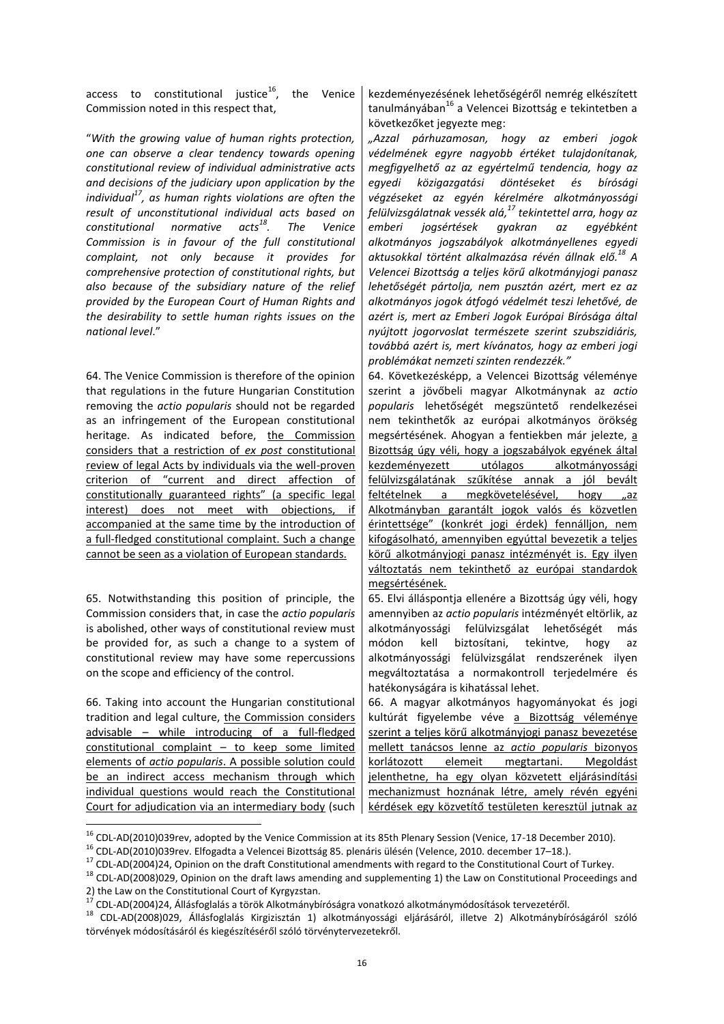access to constitutional justice $^{16}$ , the Venice Commission noted in this respect that,

"*With the growing value of human rights protection, one can observe a clear tendency towards opening constitutional review of individual administrative acts and decisions of the judiciary upon application by the individual<sup>17</sup>, as human rights violations are often the result of unconstitutional individual acts based on constitutional normative acts<sup>18</sup>. The Venice Commission is in favour of the full constitutional complaint, not only because it provides for comprehensive protection of constitutional rights, but also because of the subsidiary nature of the relief provided by the European Court of Human Rights and the desirability to settle human rights issues on the national level*."

64. The Venice Commission is therefore of the opinion that regulations in the future Hungarian Constitution removing the *actio popularis* should not be regarded as an infringement of the European constitutional heritage. As indicated before, the Commission considers that a restriction of *ex post* constitutional review of legal Acts by individuals via the well-proven criterion of "current and direct affection of constitutionally guaranteed rights" (a specific legal interest) does not meet with objections, if accompanied at the same time by the introduction of a full-fledged constitutional complaint. Such a change cannot be seen as a violation of European standards.

65. Notwithstanding this position of principle, the Commission considers that, in case the *actio popularis*  is abolished, other ways of constitutional review must be provided for, as such a change to a system of constitutional review may have some repercussions on the scope and efficiency of the control.

66. Taking into account the Hungarian constitutional tradition and legal culture, the Commission considers advisable – while introducing of a full-fledged constitutional complaint – to keep some limited elements of *actio popularis*. A possible solution could be an indirect access mechanism through which individual questions would reach the Constitutional Court for adjudication via an intermediary body (such

**.** 

kezdeményezésének lehetőségéről nemrég elkészített tanulmányában<sup>16</sup> a Velencei Bizottság e tekintetben a következőket jegyezte meg:

*"Azzal párhuzamosan, hogy az emberi jogok védelmének egyre nagyobb értéket tulajdonítanak, megfigyelhető az az egyértelmű tendencia, hogy az egyedi közigazgatási döntéseket és bírósági végzéseket az egyén kérelmére alkotmányossági felülvizsgálatnak vessék alá, <sup>17</sup> tekintettel arra, hogy az emberi jogsértések gyakran az egyébként alkotmányos jogszabályok alkotmányellenes egyedi aktusokkal történt alkalmazása révén állnak elő.<sup>18</sup> A Velencei Bizottság a teljes körű alkotmányjogi panasz lehetőségét pártolja, nem pusztán azért, mert ez az alkotmányos jogok átfogó védelmét teszi lehetővé, de azért is, mert az Emberi Jogok Európai Bírósága által nyújtott jogorvoslat természete szerint szubszidiáris, továbbá azért is, mert kívánatos, hogy az emberi jogi problémákat nemzeti szinten rendezzék."*

64. Következésképp, a Velencei Bizottság véleménye szerint a jövőbeli magyar Alkotmánynak az *actio popularis* lehetőségét megszüntető rendelkezései nem tekinthetők az európai alkotmányos örökség megsértésének. Ahogyan a fentiekben már jelezte, a Bizottság úgy véli, hogy a jogszabályok egyének által kezdeményezett utólagos alkotmányossági felülvizsgálatának szűkítése annak a jól bevált feltételnek a megkövetelésével, hogy "az Alkotmányban garantált jogok valós és közvetlen érintettsége" (konkrét jogi érdek) fennálljon, nem kifogásolható, amennyiben egyúttal bevezetik a teljes körű alkotmányjogi panasz intézményét is. Egy ilyen változtatás nem tekinthető az európai standardok megsértésének.

65. Elvi álláspontja ellenére a Bizottság úgy véli, hogy amennyiben az *actio popularis* intézményét eltörlik, az alkotmányossági felülvizsgálat lehetőségét más módon kell biztosítani, tekintve, hogy az alkotmányossági felülvizsgálat rendszerének ilyen megváltoztatása a normakontroll terjedelmére és hatékonyságára is kihatással lehet.

66. A magyar alkotmányos hagyományokat és jogi kultúrát figyelembe véve a Bizottság véleménye szerint a teljes körű alkotmányjogi panasz bevezetése mellett tanácsos lenne az *actio popularis* bizonyos korlátozott elemeit megtartani. Megoldást jelenthetne, ha egy olyan közvetett eljárásindítási mechanizmust hoznának létre, amely révén egyéni kérdések egy közvetítő testületen keresztül jutnak az

<sup>&</sup>lt;sup>16</sup> CDL-AD(2010)039rev, adopted by the Venice Commission at its 85th Plenary Session (Venice, 17-18 December 2010).

<sup>16</sup> CDL-AD(2010)039rev. Elfogadta a Velencei Bizottság 85. plenáris ülésén (Velence, 2010. december 17–18.).

<sup>&</sup>lt;sup>17</sup> CDL-AD(2004)24, Opinion on the draft Constitutional amendments with regard to the Constitutional Court of Turkey.

<sup>&</sup>lt;sup>18</sup> CDL-AD(2008)029, Opinion on the draft laws amending and supplementing 1) the Law on Constitutional Proceedings and 2) the Law on the Constitutional Court of Kyrgyzstan.

<sup>17</sup> CDL-AD(2004)24, Állásfoglalás a török Alkotmánybíróságra vonatkozó alkotmánymódosítások tervezetéről.

<sup>&</sup>lt;sup>18</sup> CDL-AD(2008)029, Állásfoglalás Kirgizisztán 1) alkotmányossági eljárásáról, illetve 2) Alkotmánybíróságáról szóló törvények módosításáról és kiegészítéséről szóló törvénytervezetekről.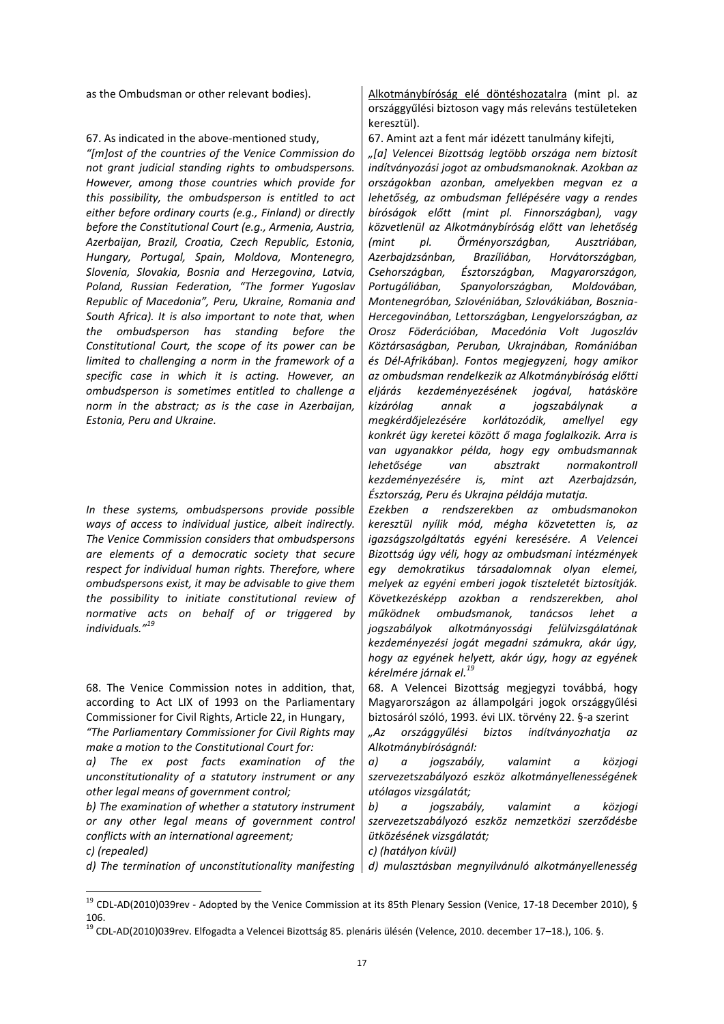### 67. As indicated in the above-mentioned study,  $\begin{bmatrix} 67. \text{Amint} \end{bmatrix}$  and the state tanulmány kifejti,

*"\*m+ost of the countries of the Venice Commission do not grant judicial standing rights to ombudspersons. However, among those countries which provide for this possibility, the ombudsperson is entitled to act either before ordinary courts (e.g., Finland) or directly before the Constitutional Court (e.g., Armenia, Austria, Azerbaijan, Brazil, Croatia, Czech Republic, Estonia, Hungary, Portugal, Spain, Moldova, Montenegro, Slovenia, Slovakia, Bosnia and Herzegovina, Latvia, Poland, Russian Federation, "The former Yugoslav Republic of Macedonia", Peru, Ukraine, Romania and South Africa). It is also important to note that, when the ombudsperson has standing before the Constitutional Court, the scope of its power can be limited to challenging a norm in the framework of a specific case in which it is acting. However, an ombudsperson is sometimes entitled to challenge a norm in the abstract; as is the case in Azerbaijan, Estonia, Peru and Ukraine.*

*In these systems, ombudspersons provide possible ways of access to individual justice, albeit indirectly. The Venice Commission considers that ombudspersons are elements of a democratic society that secure respect for individual human rights. Therefore, where ombudspersons exist, it may be advisable to give them the possibility to initiate constitutional review of normative acts on behalf of or triggered by individuals." 19*

68. The Venice Commission notes in addition, that, according to Act LIX of 1993 on the Parliamentary Commissioner for Civil Rights, Article 22, in Hungary,

*"The Parliamentary Commissioner for Civil Rights may make a motion to the Constitutional Court for:*

*a) The ex post facts examination of the unconstitutionality of a statutory instrument or any other legal means of government control;*

*b) The examination of whether a statutory instrument or any other legal means of government control conflicts with an international agreement;*

 $\overline{a}$ 

as the Ombudsman or other relevant bodies). Alkotmánybíróság elé döntéshozatalra (mint pl. az országgyűlési biztoson vagy más releváns testületeken keresztül).

*"\*a+ Velencei Bizottság legtöbb országa nem biztosít indítványozási jogot az ombudsmanoknak. Azokban az országokban azonban, amelyekben megvan ez a lehetőség, az ombudsman fellépésére vagy a rendes bíróságok előtt (mint pl. Finnországban), vagy közvetlenül az Alkotmánybíróság előtt van lehetőség (mint pl. Örményországban, Ausztriában, Azerbajdzsánban, Brazíliában, Horvátországban, Csehországban, Észtországban, Magyarországon, Portugáliában, Spanyolországban, Moldovában, Montenegróban, Szlovéniában, Szlovákiában, Bosznia-Hercegovinában, Lettországban, Lengyelországban, az Orosz Föderációban, Macedónia Volt Jugoszláv Köztársaságban, Peruban, Ukrajnában, Romániában és Dél-Afrikában). Fontos megjegyzeni, hogy amikor az ombudsman rendelkezik az Alkotmánybíróság előtti eljárás kezdeményezésének jogával, hatásköre kizárólag annak a jogszabálynak a megkérdőjelezésére korlátozódik, amellyel egy konkrét ügy keretei között ő maga foglalkozik. Arra is van ugyanakkor példa, hogy egy ombudsmannak lehetősége van absztrakt normakontroll kezdeményezésére is, mint azt Azerbajdzsán, Észtország, Peru és Ukrajna példája mutatja.*

*Ezekben a rendszerekben az ombudsmanokon keresztül nyílik mód, mégha közvetetten is, az igazságszolgáltatás egyéni keresésére. A Velencei Bizottság úgy véli, hogy az ombudsmani intézmények egy demokratikus társadalomnak olyan elemei, melyek az egyéni emberi jogok tiszteletét biztosítják. Következésképp azokban a rendszerekben, ahol működnek ombudsmanok, tanácsos lehet a jogszabályok alkotmányossági felülvizsgálatának kezdeményezési jogát megadni számukra, akár úgy, hogy az egyének helyett, akár úgy, hogy az egyének kérelmére járnak el. 19*

68. A Velencei Bizottság megjegyzi továbbá, hogy Magyarországon az állampolgári jogok országgyűlési biztosáról szóló, 1993. évi LIX. törvény 22. §-a szerint

*"Az országgyűlési biztos indítványozhatja az Alkotmánybíróságnál:*

*a) a jogszabály, valamint a közjogi szervezetszabályozó eszköz alkotmányellenességének utólagos vizsgálatát;*

*b) a jogszabály, valamint a közjogi szervezetszabályozó eszköz nemzetközi szerződésbe ütközésének vizsgálatát;*

*c) (repealed) c) (hatályon kívül)*

d) The termination of unconstitutionality manifesting d) mulasztásban megnyilvánuló alkotmányellenesség

 $^{19}$  CDL-AD(2010)039rev - Adopted by the Venice Commission at its 85th Plenary Session (Venice, 17-18 December 2010), § 106.

<sup>&</sup>lt;sup>19</sup> CDL-AD(2010)039rev. Elfogadta a Velencei Bizottság 85. plenáris ülésén (Velence, 2010. december 17–18.), 106. §.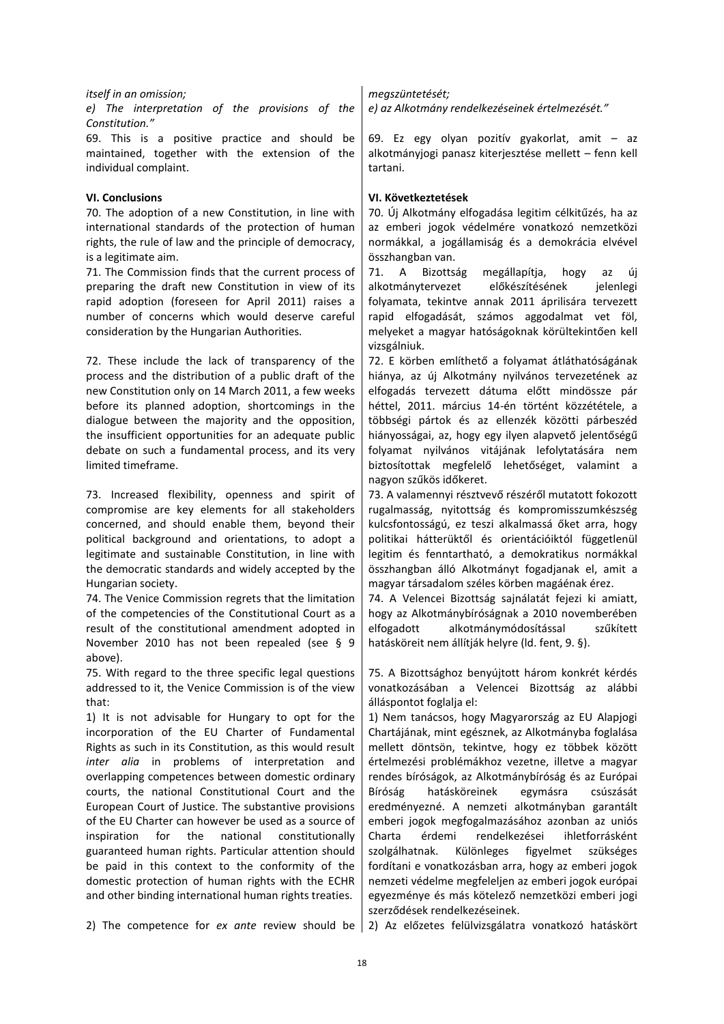### *itself in an omission; megszüntetését;*

*e) The interpretation of the provisions of the Constitution."*

69. This is a positive practice and should be maintained, together with the extension of the individual complaint.

70. The adoption of a new Constitution, in line with international standards of the protection of human rights, the rule of law and the principle of democracy, is a legitimate aim.

71. The Commission finds that the current process of preparing the draft new Constitution in view of its rapid adoption (foreseen for April 2011) raises a number of concerns which would deserve careful consideration by the Hungarian Authorities.

72. These include the lack of transparency of the process and the distribution of a public draft of the new Constitution only on 14 March 2011, a few weeks before its planned adoption, shortcomings in the dialogue between the majority and the opposition, the insufficient opportunities for an adequate public debate on such a fundamental process, and its very limited timeframe.

73. Increased flexibility, openness and spirit of compromise are key elements for all stakeholders concerned, and should enable them, beyond their political background and orientations, to adopt a legitimate and sustainable Constitution, in line with the democratic standards and widely accepted by the Hungarian society.

74. The Venice Commission regrets that the limitation of the competencies of the Constitutional Court as a result of the constitutional amendment adopted in November 2010 has not been repealed (see § 9 above).

75. With regard to the three specific legal questions addressed to it, the Venice Commission is of the view that:

1) It is not advisable for Hungary to opt for the incorporation of the EU Charter of Fundamental Rights as such in its Constitution, as this would result *inter alia* in problems of interpretation and overlapping competences between domestic ordinary courts, the national Constitutional Court and the European Court of Justice. The substantive provisions of the EU Charter can however be used as a source of inspiration for the national constitutionally guaranteed human rights. Particular attention should be paid in this context to the conformity of the domestic protection of human rights with the ECHR and other binding international human rights treaties.

*e) az Alkotmány rendelkezéseinek értelmezését."*

69. Ez egy olyan pozitív gyakorlat, amit – az alkotmányjogi panasz kiterjesztése mellett – fenn kell tartani.

### **VI. Conclusions VI. Következtetések**

70. Új Alkotmány elfogadása legitim célkitűzés, ha az az emberi jogok védelmére vonatkozó nemzetközi normákkal, a jogállamiság és a demokrácia elvével összhangban van.

71. A Bizottság megállapítja, hogy az új alkotmánytervezet előkészítésének jelenlegi folyamata, tekintve annak 2011 áprilisára tervezett rapid elfogadását, számos aggodalmat vet föl, melyeket a magyar hatóságoknak körültekintően kell vizsgálniuk.

72. E körben említhető a folyamat átláthatóságának hiánya, az új Alkotmány nyilvános tervezetének az elfogadás tervezett dátuma előtt mindössze pár héttel, 2011. március 14-én történt közzététele, a többségi pártok és az ellenzék közötti párbeszéd hiányosságai, az, hogy egy ilyen alapvető jelentőségű folyamat nyilvános vitájának lefolytatására nem biztosítottak megfelelő lehetőséget, valamint a nagyon szűkös időkeret.

73. A valamennyi résztvevő részéről mutatott fokozott rugalmasság, nyitottság és kompromisszumkészség kulcsfontosságú, ez teszi alkalmassá őket arra, hogy politikai hátterüktől és orientációiktól függetlenül legitim és fenntartható, a demokratikus normákkal összhangban álló Alkotmányt fogadjanak el, amit a magyar társadalom széles körben magáénak érez.

74. A Velencei Bizottság sajnálatát fejezi ki amiatt, hogy az Alkotmánybíróságnak a 2010 novemberében elfogadott alkotmánymódosítással szűkített hatásköreit nem állítják helyre (ld. fent, 9. §).

75. A Bizottsághoz benyújtott három konkrét kérdés vonatkozásában a Velencei Bizottság az alábbi álláspontot foglalja el:

1) Nem tanácsos, hogy Magyarország az EU Alapjogi Chartájának, mint egésznek, az Alkotmányba foglalása mellett döntsön, tekintve, hogy ez többek között értelmezési problémákhoz vezetne, illetve a magyar rendes bíróságok, az Alkotmánybíróság és az Európai Bíróság hatásköreinek egymásra csúszását eredményezné. A nemzeti alkotmányban garantált emberi jogok megfogalmazásához azonban az uniós Charta érdemi rendelkezései ihletforrásként szolgálhatnak. Különleges figyelmet szükséges fordítani e vonatkozásban arra, hogy az emberi jogok nemzeti védelme megfeleljen az emberi jogok európai egyezménye és más kötelező nemzetközi emberi jogi szerződések rendelkezéseinek.

2) The competence for *ex ante* review should be 2) Az előzetes felülvizsgálatra vonatkozó hatáskört